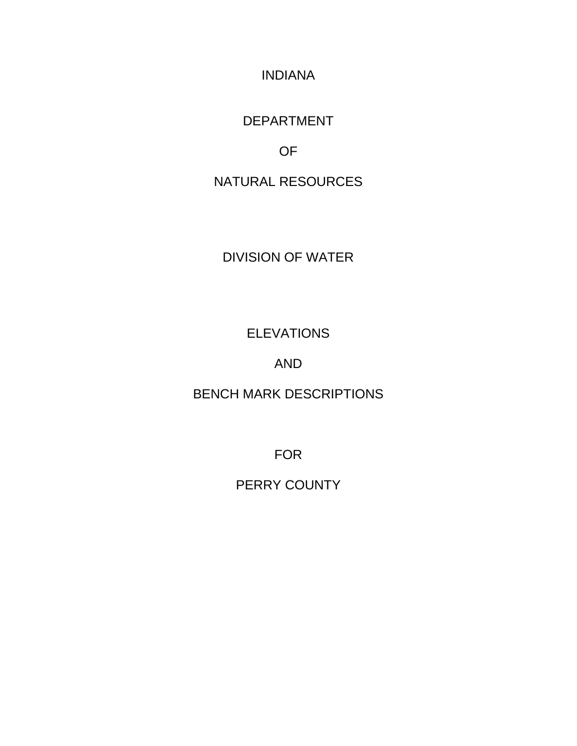INDIANA

DEPARTMENT

OF

NATURAL RESOURCES

DIVISION OF WATER

ELEVATIONS

AND

BENCH MARK DESCRIPTIONS

FOR

PERRY COUNTY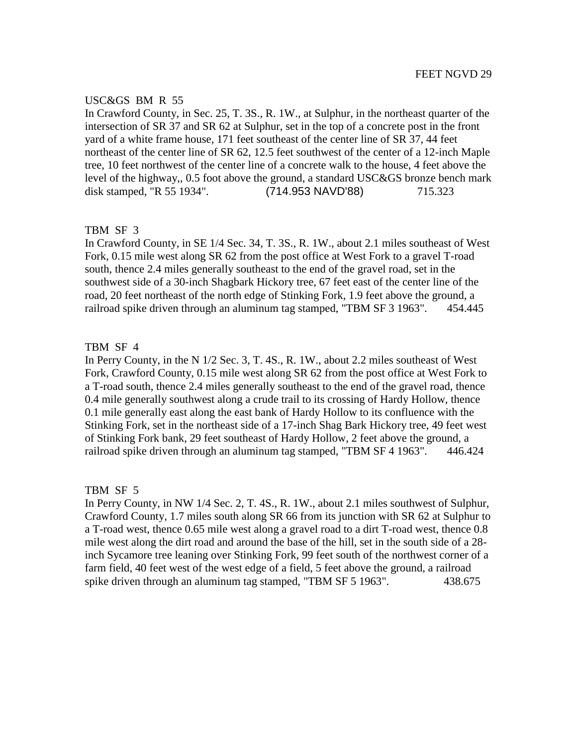# USC&GS BM R 55

In Crawford County, in Sec. 25, T. 3S., R. 1W., at Sulphur, in the northeast quarter of the intersection of SR 37 and SR 62 at Sulphur, set in the top of a concrete post in the front yard of a white frame house, 171 feet southeast of the center line of SR 37, 44 feet northeast of the center line of SR 62, 12.5 feet southwest of the center of a 12-inch Maple tree, 10 feet northwest of the center line of a concrete walk to the house, 4 feet above the level of the highway,, 0.5 foot above the ground, a standard USC&GS bronze bench mark disk stamped, "R 55 1934". (714.953 NAVD'88) 715.323

# TBM SF 3

In Crawford County, in SE 1/4 Sec. 34, T. 3S., R. 1W., about 2.1 miles southeast of West Fork, 0.15 mile west along SR 62 from the post office at West Fork to a gravel T-road south, thence 2.4 miles generally southeast to the end of the gravel road, set in the southwest side of a 30-inch Shagbark Hickory tree, 67 feet east of the center line of the road, 20 feet northeast of the north edge of Stinking Fork, 1.9 feet above the ground, a railroad spike driven through an aluminum tag stamped, "TBM SF 3 1963". 454.445

# TBM SF 4

In Perry County, in the N 1/2 Sec. 3, T. 4S., R. 1W., about 2.2 miles southeast of West Fork, Crawford County, 0.15 mile west along SR 62 from the post office at West Fork to a T-road south, thence 2.4 miles generally southeast to the end of the gravel road, thence 0.4 mile generally southwest along a crude trail to its crossing of Hardy Hollow, thence 0.1 mile generally east along the east bank of Hardy Hollow to its confluence with the Stinking Fork, set in the northeast side of a 17-inch Shag Bark Hickory tree, 49 feet west of Stinking Fork bank, 29 feet southeast of Hardy Hollow, 2 feet above the ground, a railroad spike driven through an aluminum tag stamped, "TBM SF 4 1963". 446.424

## TBM SF 5

In Perry County, in NW 1/4 Sec. 2, T. 4S., R. 1W., about 2.1 miles southwest of Sulphur, Crawford County, 1.7 miles south along SR 66 from its junction with SR 62 at Sulphur to a T-road west, thence 0.65 mile west along a gravel road to a dirt T-road west, thence 0.8 mile west along the dirt road and around the base of the hill, set in the south side of a 28 inch Sycamore tree leaning over Stinking Fork, 99 feet south of the northwest corner of a farm field, 40 feet west of the west edge of a field, 5 feet above the ground, a railroad spike driven through an aluminum tag stamped, "TBM SF 5 1963". 438.675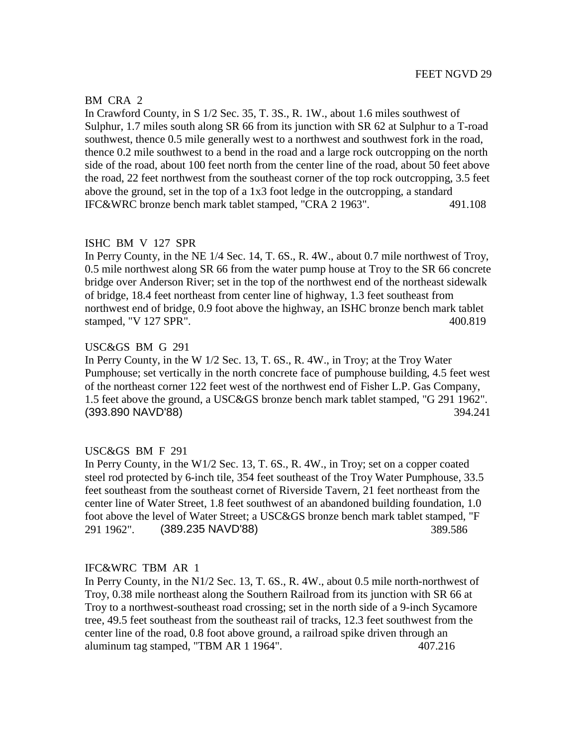## BM CRA 2

In Crawford County, in S 1/2 Sec. 35, T. 3S., R. 1W., about 1.6 miles southwest of Sulphur, 1.7 miles south along SR 66 from its junction with SR 62 at Sulphur to a T-road southwest, thence 0.5 mile generally west to a northwest and southwest fork in the road, thence 0.2 mile southwest to a bend in the road and a large rock outcropping on the north side of the road, about 100 feet north from the center line of the road, about 50 feet above the road, 22 feet northwest from the southeast corner of the top rock outcropping, 3.5 feet above the ground, set in the top of a 1x3 foot ledge in the outcropping, a standard IFC&WRC bronze bench mark tablet stamped, "CRA 2 1963". 491.108

## ISHC BM V 127 SPR

In Perry County, in the NE 1/4 Sec. 14, T. 6S., R. 4W., about 0.7 mile northwest of Troy, 0.5 mile northwest along SR 66 from the water pump house at Troy to the SR 66 concrete bridge over Anderson River; set in the top of the northwest end of the northeast sidewalk of bridge, 18.4 feet northeast from center line of highway, 1.3 feet southeast from northwest end of bridge, 0.9 foot above the highway, an ISHC bronze bench mark tablet stamped, "V 127 SPR". 400.819

# USC&GS BM G 291

In Perry County, in the W 1/2 Sec. 13, T. 6S., R. 4W., in Troy; at the Troy Water Pumphouse; set vertically in the north concrete face of pumphouse building, 4.5 feet west of the northeast corner 122 feet west of the northwest end of Fisher L.P. Gas Company, 1.5 feet above the ground, a USC&GS bronze bench mark tablet stamped, "G 291 1962". (393.890 NAVD'88) 394.241

## USC&GS BM F 291

In Perry County, in the W1/2 Sec. 13, T. 6S., R. 4W., in Troy; set on a copper coated steel rod protected by 6-inch tile, 354 feet southeast of the Troy Water Pumphouse, 33.5 feet southeast from the southeast cornet of Riverside Tavern, 21 feet northeast from the center line of Water Street, 1.8 feet southwest of an abandoned building foundation, 1.0 foot above the level of Water Street; a USC&GS bronze bench mark tablet stamped, "F 291 1962". (389.235 NAVD'88) 389.586

## IFC&WRC TBM AR 1

In Perry County, in the N1/2 Sec. 13, T. 6S., R. 4W., about 0.5 mile north-northwest of Troy, 0.38 mile northeast along the Southern Railroad from its junction with SR 66 at Troy to a northwest-southeast road crossing; set in the north side of a 9-inch Sycamore tree, 49.5 feet southeast from the southeast rail of tracks, 12.3 feet southwest from the center line of the road, 0.8 foot above ground, a railroad spike driven through an aluminum tag stamped, "TBM AR 1 1964". 407.216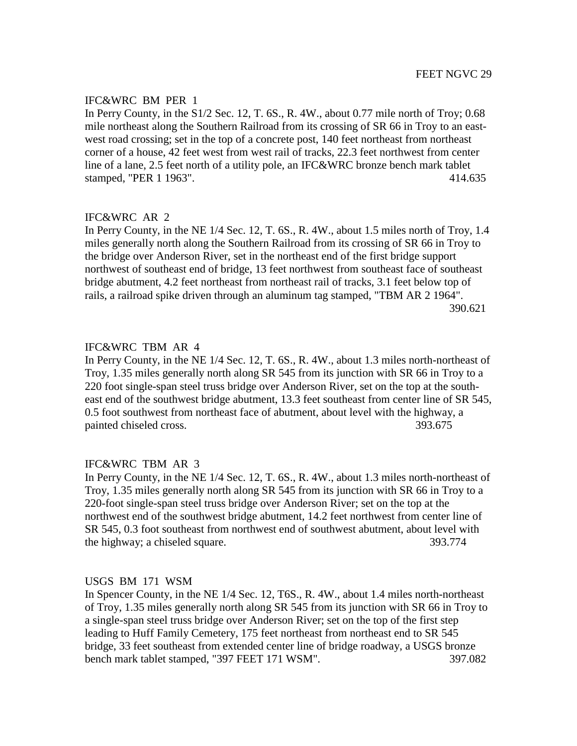In Perry County, in the S1/2 Sec. 12, T. 6S., R. 4W., about 0.77 mile north of Troy; 0.68 mile northeast along the Southern Railroad from its crossing of SR 66 in Troy to an eastwest road crossing; set in the top of a concrete post, 140 feet northeast from northeast corner of a house, 42 feet west from west rail of tracks, 22.3 feet northwest from center line of a lane, 2.5 feet north of a utility pole, an IFC&WRC bronze bench mark tablet stamped, "PER 1 1963". 414.635

# IFC&WRC AR 2

In Perry County, in the NE 1/4 Sec. 12, T. 6S., R. 4W., about 1.5 miles north of Troy, 1.4 miles generally north along the Southern Railroad from its crossing of SR 66 in Troy to the bridge over Anderson River, set in the northeast end of the first bridge support northwest of southeast end of bridge, 13 feet northwest from southeast face of southeast bridge abutment, 4.2 feet northeast from northeast rail of tracks, 3.1 feet below top of rails, a railroad spike driven through an aluminum tag stamped, "TBM AR 2 1964". 390.621

# IFC&WRC TBM AR 4

In Perry County, in the NE 1/4 Sec. 12, T. 6S., R. 4W., about 1.3 miles north-northeast of Troy, 1.35 miles generally north along SR 545 from its junction with SR 66 in Troy to a 220 foot single-span steel truss bridge over Anderson River, set on the top at the southeast end of the southwest bridge abutment, 13.3 feet southeast from center line of SR 545, 0.5 foot southwest from northeast face of abutment, about level with the highway, a painted chiseled cross.  $393.675$ 

# IFC&WRC TBM AR 3

In Perry County, in the NE 1/4 Sec. 12, T. 6S., R. 4W., about 1.3 miles north-northeast of Troy, 1.35 miles generally north along SR 545 from its junction with SR 66 in Troy to a 220-foot single-span steel truss bridge over Anderson River; set on the top at the northwest end of the southwest bridge abutment, 14.2 feet northwest from center line of SR 545, 0.3 foot southeast from northwest end of southwest abutment, about level with the highway; a chiseled square.  $393.774$ 

## USGS BM 171 WSM

In Spencer County, in the NE 1/4 Sec. 12, T6S., R. 4W., about 1.4 miles north-northeast of Troy, 1.35 miles generally north along SR 545 from its junction with SR 66 in Troy to a single-span steel truss bridge over Anderson River; set on the top of the first step leading to Huff Family Cemetery, 175 feet northeast from northeast end to SR 545 bridge, 33 feet southeast from extended center line of bridge roadway, a USGS bronze bench mark tablet stamped, "397 FEET 171 WSM". 397.082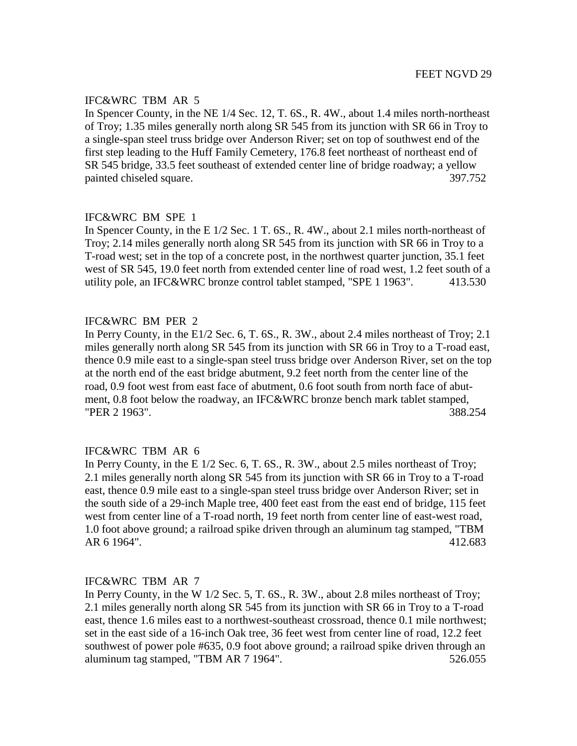# IFC&WRC TBM AR 5

In Spencer County, in the NE 1/4 Sec. 12, T. 6S., R. 4W., about 1.4 miles north-northeast of Troy; 1.35 miles generally north along SR 545 from its junction with SR 66 in Troy to a single-span steel truss bridge over Anderson River; set on top of southwest end of the first step leading to the Huff Family Cemetery, 176.8 feet northeast of northeast end of SR 545 bridge, 33.5 feet southeast of extended center line of bridge roadway; a yellow painted chiseled square.  $397.752$ 

# IFC&WRC BM SPE 1

In Spencer County, in the E 1/2 Sec. 1 T. 6S., R. 4W., about 2.1 miles north-northeast of Troy; 2.14 miles generally north along SR 545 from its junction with SR 66 in Troy to a T-road west; set in the top of a concrete post, in the northwest quarter junction, 35.1 feet west of SR 545, 19.0 feet north from extended center line of road west, 1.2 feet south of a utility pole, an IFC&WRC bronze control tablet stamped, "SPE 1 1963". 413.530

# IFC&WRC BM PER 2

In Perry County, in the E1/2 Sec. 6, T. 6S., R. 3W., about 2.4 miles northeast of Troy; 2.1 miles generally north along SR 545 from its junction with SR 66 in Troy to a T-road east, thence 0.9 mile east to a single-span steel truss bridge over Anderson River, set on the top at the north end of the east bridge abutment, 9.2 feet north from the center line of the road, 0.9 foot west from east face of abutment, 0.6 foot south from north face of abutment, 0.8 foot below the roadway, an IFC&WRC bronze bench mark tablet stamped, "PER 2 1963". 388.254

# IFC&WRC TBM AR 6

In Perry County, in the E 1/2 Sec. 6, T. 6S., R. 3W., about 2.5 miles northeast of Troy; 2.1 miles generally north along SR 545 from its junction with SR 66 in Troy to a T-road east, thence 0.9 mile east to a single-span steel truss bridge over Anderson River; set in the south side of a 29-inch Maple tree, 400 feet east from the east end of bridge, 115 feet west from center line of a T-road north, 19 feet north from center line of east-west road, 1.0 foot above ground; a railroad spike driven through an aluminum tag stamped, "TBM AR 6 1964". 412.683

## IFC&WRC TBM AR 7

In Perry County, in the W 1/2 Sec. 5, T. 6S., R. 3W., about 2.8 miles northeast of Troy; 2.1 miles generally north along SR 545 from its junction with SR 66 in Troy to a T-road east, thence 1.6 miles east to a northwest-southeast crossroad, thence 0.1 mile northwest; set in the east side of a 16-inch Oak tree, 36 feet west from center line of road, 12.2 feet southwest of power pole #635, 0.9 foot above ground; a railroad spike driven through an aluminum tag stamped, "TBM AR 7 1964". 526.055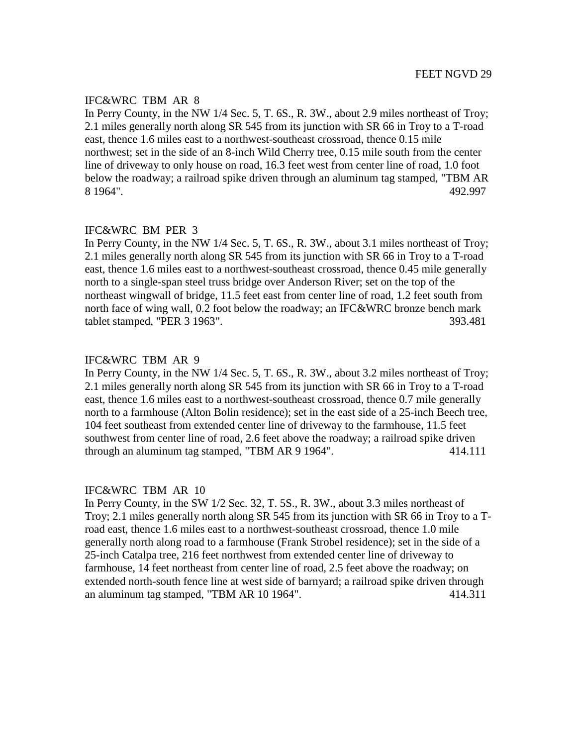## IFC&WRC TBM AR 8

In Perry County, in the NW 1/4 Sec. 5, T. 6S., R. 3W., about 2.9 miles northeast of Troy; 2.1 miles generally north along SR 545 from its junction with SR 66 in Troy to a T-road east, thence 1.6 miles east to a northwest-southeast crossroad, thence 0.15 mile northwest; set in the side of an 8-inch Wild Cherry tree, 0.15 mile south from the center line of driveway to only house on road, 16.3 feet west from center line of road, 1.0 foot below the roadway; a railroad spike driven through an aluminum tag stamped, "TBM AR 8 1964". 492.997

#### IFC&WRC BM PER 3

In Perry County, in the NW 1/4 Sec. 5, T. 6S., R. 3W., about 3.1 miles northeast of Troy; 2.1 miles generally north along SR 545 from its junction with SR 66 in Troy to a T-road east, thence 1.6 miles east to a northwest-southeast crossroad, thence 0.45 mile generally north to a single-span steel truss bridge over Anderson River; set on the top of the northeast wingwall of bridge, 11.5 feet east from center line of road, 1.2 feet south from north face of wing wall, 0.2 foot below the roadway; an IFC&WRC bronze bench mark tablet stamped, "PER 3 1963". 393.481

#### IFC&WRC TBM AR 9

In Perry County, in the NW 1/4 Sec. 5, T. 6S., R. 3W., about 3.2 miles northeast of Troy; 2.1 miles generally north along SR 545 from its junction with SR 66 in Troy to a T-road east, thence 1.6 miles east to a northwest-southeast crossroad, thence 0.7 mile generally north to a farmhouse (Alton Bolin residence); set in the east side of a 25-inch Beech tree, 104 feet southeast from extended center line of driveway to the farmhouse, 11.5 feet southwest from center line of road, 2.6 feet above the roadway; a railroad spike driven through an aluminum tag stamped, "TBM AR 9 1964". 414.111

#### IFC&WRC TBM AR 10

In Perry County, in the SW 1/2 Sec. 32, T. 5S., R. 3W., about 3.3 miles northeast of Troy; 2.1 miles generally north along SR 545 from its junction with SR 66 in Troy to a Troad east, thence 1.6 miles east to a northwest-southeast crossroad, thence 1.0 mile generally north along road to a farmhouse (Frank Strobel residence); set in the side of a 25-inch Catalpa tree, 216 feet northwest from extended center line of driveway to farmhouse, 14 feet northeast from center line of road, 2.5 feet above the roadway; on extended north-south fence line at west side of barnyard; a railroad spike driven through an aluminum tag stamped, "TBM AR 10 1964". 414.311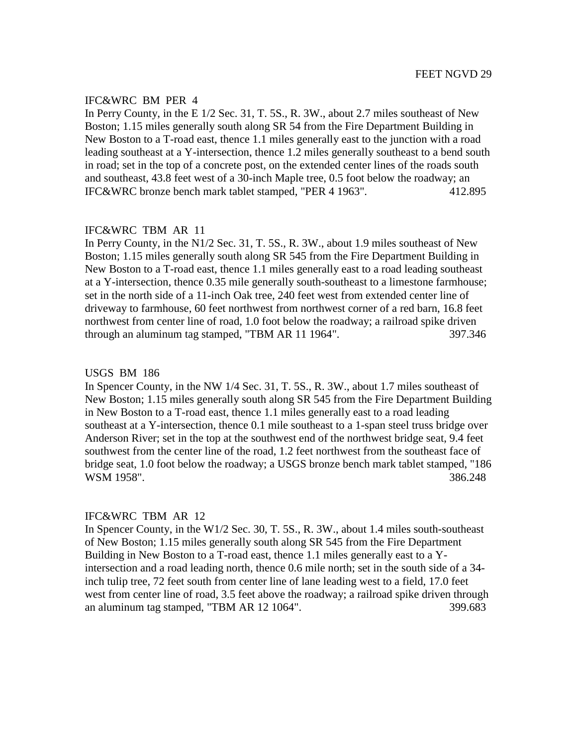In Perry County, in the E 1/2 Sec. 31, T. 5S., R. 3W., about 2.7 miles southeast of New Boston; 1.15 miles generally south along SR 54 from the Fire Department Building in New Boston to a T-road east, thence 1.1 miles generally east to the junction with a road leading southeast at a Y-intersection, thence 1.2 miles generally southeast to a bend south in road; set in the top of a concrete post, on the extended center lines of the roads south and southeast, 43.8 feet west of a 30-inch Maple tree, 0.5 foot below the roadway; an IFC&WRC bronze bench mark tablet stamped, "PER 4 1963". 412.895

## IFC&WRC TBM AR 11

In Perry County, in the N1/2 Sec. 31, T. 5S., R. 3W., about 1.9 miles southeast of New Boston; 1.15 miles generally south along SR 545 from the Fire Department Building in New Boston to a T-road east, thence 1.1 miles generally east to a road leading southeast at a Y-intersection, thence 0.35 mile generally south-southeast to a limestone farmhouse; set in the north side of a 11-inch Oak tree, 240 feet west from extended center line of driveway to farmhouse, 60 feet northwest from northwest corner of a red barn, 16.8 feet northwest from center line of road, 1.0 foot below the roadway; a railroad spike driven through an aluminum tag stamped, "TBM AR 11 1964". 397.346

#### USGS BM 186

In Spencer County, in the NW 1/4 Sec. 31, T. 5S., R. 3W., about 1.7 miles southeast of New Boston; 1.15 miles generally south along SR 545 from the Fire Department Building in New Boston to a T-road east, thence 1.1 miles generally east to a road leading southeast at a Y-intersection, thence 0.1 mile southeast to a 1-span steel truss bridge over Anderson River; set in the top at the southwest end of the northwest bridge seat, 9.4 feet southwest from the center line of the road, 1.2 feet northwest from the southeast face of bridge seat, 1.0 foot below the roadway; a USGS bronze bench mark tablet stamped, "186 WSM 1958". 386.248

#### IFC&WRC TBM AR 12

In Spencer County, in the W1/2 Sec. 30, T. 5S., R. 3W., about 1.4 miles south-southeast of New Boston; 1.15 miles generally south along SR 545 from the Fire Department Building in New Boston to a T-road east, thence 1.1 miles generally east to a Yintersection and a road leading north, thence 0.6 mile north; set in the south side of a 34 inch tulip tree, 72 feet south from center line of lane leading west to a field, 17.0 feet west from center line of road, 3.5 feet above the roadway; a railroad spike driven through an aluminum tag stamped, "TBM AR 12 1064". 399.683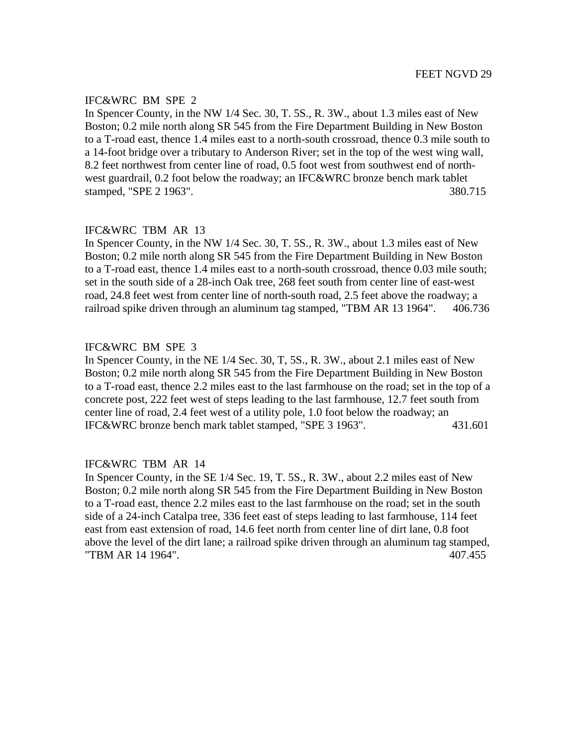In Spencer County, in the NW 1/4 Sec. 30, T. 5S., R. 3W., about 1.3 miles east of New Boston; 0.2 mile north along SR 545 from the Fire Department Building in New Boston to a T-road east, thence 1.4 miles east to a north-south crossroad, thence 0.3 mile south to a 14-foot bridge over a tributary to Anderson River; set in the top of the west wing wall, 8.2 feet northwest from center line of road, 0.5 foot west from southwest end of northwest guardrail, 0.2 foot below the roadway; an IFC&WRC bronze bench mark tablet stamped, "SPE 2 1963". 380.715

# IFC&WRC TBM AR 13

In Spencer County, in the NW 1/4 Sec. 30, T. 5S., R. 3W., about 1.3 miles east of New Boston; 0.2 mile north along SR 545 from the Fire Department Building in New Boston to a T-road east, thence 1.4 miles east to a north-south crossroad, thence 0.03 mile south; set in the south side of a 28-inch Oak tree, 268 feet south from center line of east-west road, 24.8 feet west from center line of north-south road, 2.5 feet above the roadway; a railroad spike driven through an aluminum tag stamped, "TBM AR 13 1964". 406.736

# IFC&WRC BM SPE 3

In Spencer County, in the NE 1/4 Sec. 30, T, 5S., R. 3W., about 2.1 miles east of New Boston; 0.2 mile north along SR 545 from the Fire Department Building in New Boston to a T-road east, thence 2.2 miles east to the last farmhouse on the road; set in the top of a concrete post, 222 feet west of steps leading to the last farmhouse, 12.7 feet south from center line of road, 2.4 feet west of a utility pole, 1.0 foot below the roadway; an IFC&WRC bronze bench mark tablet stamped, "SPE 3 1963". 431.601

## IFC&WRC TBM AR 14

In Spencer County, in the SE 1/4 Sec. 19, T. 5S., R. 3W., about 2.2 miles east of New Boston; 0.2 mile north along SR 545 from the Fire Department Building in New Boston to a T-road east, thence 2.2 miles east to the last farmhouse on the road; set in the south side of a 24-inch Catalpa tree, 336 feet east of steps leading to last farmhouse, 114 feet east from east extension of road, 14.6 feet north from center line of dirt lane, 0.8 foot above the level of the dirt lane; a railroad spike driven through an aluminum tag stamped, "TBM AR 14 1964". 407.455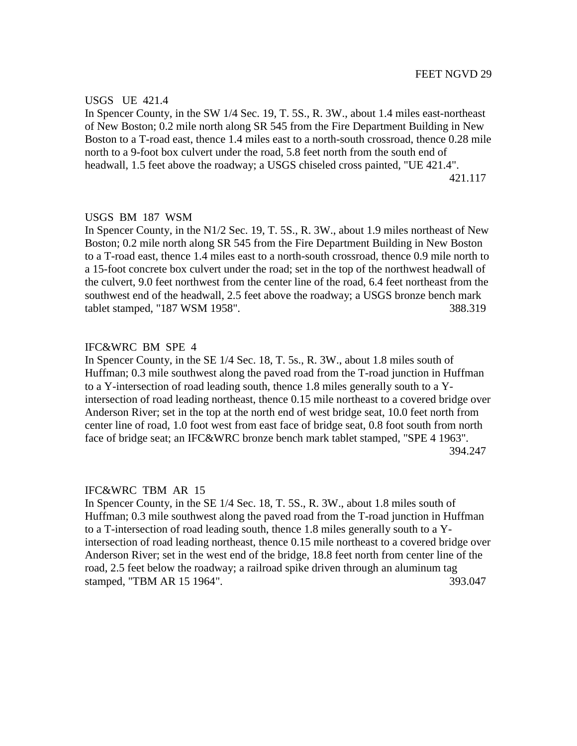#### USGS UE 421.4

In Spencer County, in the SW 1/4 Sec. 19, T. 5S., R. 3W., about 1.4 miles east-northeast of New Boston; 0.2 mile north along SR 545 from the Fire Department Building in New Boston to a T-road east, thence 1.4 miles east to a north-south crossroad, thence 0.28 mile north to a 9-foot box culvert under the road, 5.8 feet north from the south end of headwall, 1.5 feet above the roadway; a USGS chiseled cross painted, "UE 421.4". 421.117

#### USGS BM 187 WSM

In Spencer County, in the N1/2 Sec. 19, T. 5S., R. 3W., about 1.9 miles northeast of New Boston; 0.2 mile north along SR 545 from the Fire Department Building in New Boston to a T-road east, thence 1.4 miles east to a north-south crossroad, thence 0.9 mile north to a 15-foot concrete box culvert under the road; set in the top of the northwest headwall of the culvert, 9.0 feet northwest from the center line of the road, 6.4 feet northeast from the southwest end of the headwall, 2.5 feet above the roadway; a USGS bronze bench mark tablet stamped, "187 WSM 1958". 388.319

## IFC&WRC BM SPE 4

In Spencer County, in the SE 1/4 Sec. 18, T. 5s., R. 3W., about 1.8 miles south of Huffman; 0.3 mile southwest along the paved road from the T-road junction in Huffman to a Y-intersection of road leading south, thence 1.8 miles generally south to a Yintersection of road leading northeast, thence 0.15 mile northeast to a covered bridge over Anderson River; set in the top at the north end of west bridge seat, 10.0 feet north from center line of road, 1.0 foot west from east face of bridge seat, 0.8 foot south from north face of bridge seat; an IFC&WRC bronze bench mark tablet stamped, "SPE 4 1963". 394.247

#### IFC&WRC TBM AR 15

In Spencer County, in the SE 1/4 Sec. 18, T. 5S., R. 3W., about 1.8 miles south of Huffman; 0.3 mile southwest along the paved road from the T-road junction in Huffman to a T-intersection of road leading south, thence 1.8 miles generally south to a Yintersection of road leading northeast, thence 0.15 mile northeast to a covered bridge over Anderson River; set in the west end of the bridge, 18.8 feet north from center line of the road, 2.5 feet below the roadway; a railroad spike driven through an aluminum tag stamped, "TBM AR 15 1964". 393.047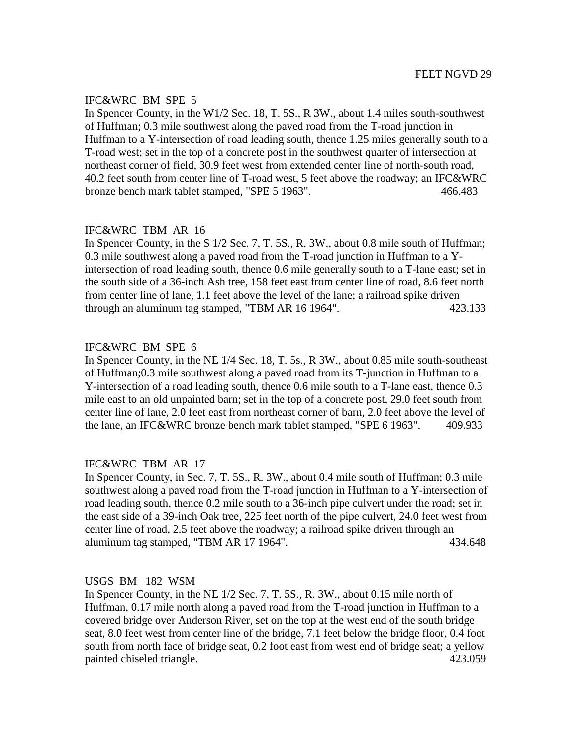In Spencer County, in the W1/2 Sec. 18, T. 5S., R 3W., about 1.4 miles south-southwest of Huffman; 0.3 mile southwest along the paved road from the T-road junction in Huffman to a Y-intersection of road leading south, thence 1.25 miles generally south to a T-road west; set in the top of a concrete post in the southwest quarter of intersection at northeast corner of field, 30.9 feet west from extended center line of north-south road, 40.2 feet south from center line of T-road west, 5 feet above the roadway; an IFC&WRC bronze bench mark tablet stamped, "SPE 5 1963". 466.483

# IFC&WRC TBM AR 16

In Spencer County, in the S 1/2 Sec. 7, T. 5S., R. 3W., about 0.8 mile south of Huffman; 0.3 mile southwest along a paved road from the T-road junction in Huffman to a Yintersection of road leading south, thence 0.6 mile generally south to a T-lane east; set in the south side of a 36-inch Ash tree, 158 feet east from center line of road, 8.6 feet north from center line of lane, 1.1 feet above the level of the lane; a railroad spike driven through an aluminum tag stamped, "TBM AR 16 1964". 423.133

# IFC&WRC BM SPE 6

In Spencer County, in the NE 1/4 Sec. 18, T. 5s., R 3W., about 0.85 mile south-southeast of Huffman;0.3 mile southwest along a paved road from its T-junction in Huffman to a Y-intersection of a road leading south, thence 0.6 mile south to a T-lane east, thence 0.3 mile east to an old unpainted barn; set in the top of a concrete post, 29.0 feet south from center line of lane, 2.0 feet east from northeast corner of barn, 2.0 feet above the level of the lane, an IFC&WRC bronze bench mark tablet stamped, "SPE 6 1963". 409.933

# IFC&WRC TBM AR 17

In Spencer County, in Sec. 7, T. 5S., R. 3W., about 0.4 mile south of Huffman; 0.3 mile southwest along a paved road from the T-road junction in Huffman to a Y-intersection of road leading south, thence 0.2 mile south to a 36-inch pipe culvert under the road; set in the east side of a 39-inch Oak tree, 225 feet north of the pipe culvert, 24.0 feet west from center line of road, 2.5 feet above the roadway; a railroad spike driven through an aluminum tag stamped, "TBM AR 17 1964". 434.648

## USGS BM 182 WSM

In Spencer County, in the NE 1/2 Sec. 7, T. 5S., R. 3W., about 0.15 mile north of Huffman, 0.17 mile north along a paved road from the T-road junction in Huffman to a covered bridge over Anderson River, set on the top at the west end of the south bridge seat, 8.0 feet west from center line of the bridge, 7.1 feet below the bridge floor, 0.4 foot south from north face of bridge seat, 0.2 foot east from west end of bridge seat; a yellow painted chiseled triangle. 423.059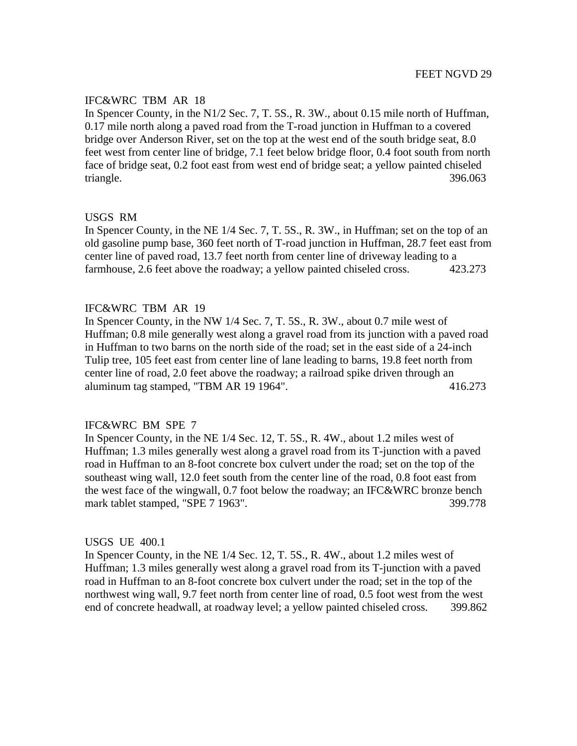# IFC&WRC TBM AR 18

In Spencer County, in the N1/2 Sec. 7, T. 5S., R. 3W., about 0.15 mile north of Huffman, 0.17 mile north along a paved road from the T-road junction in Huffman to a covered bridge over Anderson River, set on the top at the west end of the south bridge seat, 8.0 feet west from center line of bridge, 7.1 feet below bridge floor, 0.4 foot south from north face of bridge seat, 0.2 foot east from west end of bridge seat; a yellow painted chiseled triangle. 396.063

## USGS RM

In Spencer County, in the NE 1/4 Sec. 7, T. 5S., R. 3W., in Huffman; set on the top of an old gasoline pump base, 360 feet north of T-road junction in Huffman, 28.7 feet east from center line of paved road, 13.7 feet north from center line of driveway leading to a farmhouse, 2.6 feet above the roadway; a yellow painted chiseled cross. 423.273

## IFC&WRC TBM AR 19

In Spencer County, in the NW 1/4 Sec. 7, T. 5S., R. 3W., about 0.7 mile west of Huffman; 0.8 mile generally west along a gravel road from its junction with a paved road in Huffman to two barns on the north side of the road; set in the east side of a 24-inch Tulip tree, 105 feet east from center line of lane leading to barns, 19.8 feet north from center line of road, 2.0 feet above the roadway; a railroad spike driven through an aluminum tag stamped, "TBM AR 19 1964". 416.273

## IFC&WRC BM SPE 7

In Spencer County, in the NE 1/4 Sec. 12, T. 5S., R. 4W., about 1.2 miles west of Huffman; 1.3 miles generally west along a gravel road from its T-junction with a paved road in Huffman to an 8-foot concrete box culvert under the road; set on the top of the southeast wing wall, 12.0 feet south from the center line of the road, 0.8 foot east from the west face of the wingwall, 0.7 foot below the roadway; an IFC&WRC bronze bench mark tablet stamped, "SPE 7 1963". 399.778

## USGS UE 400.1

In Spencer County, in the NE 1/4 Sec. 12, T. 5S., R. 4W., about 1.2 miles west of Huffman; 1.3 miles generally west along a gravel road from its T-junction with a paved road in Huffman to an 8-foot concrete box culvert under the road; set in the top of the northwest wing wall, 9.7 feet north from center line of road, 0.5 foot west from the west end of concrete headwall, at roadway level; a yellow painted chiseled cross. 399.862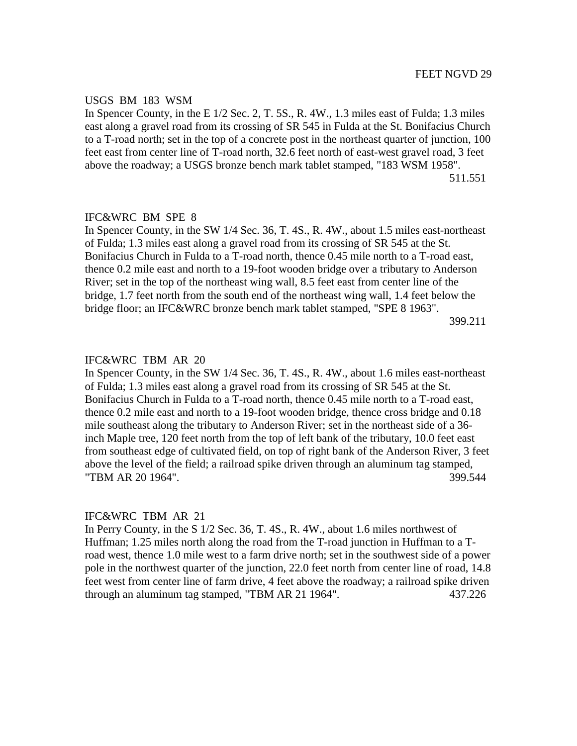#### USGS BM 183 WSM

In Spencer County, in the E 1/2 Sec. 2, T. 5S., R. 4W., 1.3 miles east of Fulda; 1.3 miles east along a gravel road from its crossing of SR 545 in Fulda at the St. Bonifacius Church to a T-road north; set in the top of a concrete post in the northeast quarter of junction, 100 feet east from center line of T-road north, 32.6 feet north of east-west gravel road, 3 feet above the roadway; a USGS bronze bench mark tablet stamped, "183 WSM 1958". 511.551

#### IFC&WRC BM SPE 8

In Spencer County, in the SW 1/4 Sec. 36, T. 4S., R. 4W., about 1.5 miles east-northeast of Fulda; 1.3 miles east along a gravel road from its crossing of SR 545 at the St. Bonifacius Church in Fulda to a T-road north, thence 0.45 mile north to a T-road east, thence 0.2 mile east and north to a 19-foot wooden bridge over a tributary to Anderson River; set in the top of the northeast wing wall, 8.5 feet east from center line of the bridge, 1.7 feet north from the south end of the northeast wing wall, 1.4 feet below the bridge floor; an IFC&WRC bronze bench mark tablet stamped, "SPE 8 1963". 399.211

#### IFC&WRC TBM AR 20

In Spencer County, in the SW 1/4 Sec. 36, T. 4S., R. 4W., about 1.6 miles east-northeast of Fulda; 1.3 miles east along a gravel road from its crossing of SR 545 at the St. Bonifacius Church in Fulda to a T-road north, thence 0.45 mile north to a T-road east, thence 0.2 mile east and north to a 19-foot wooden bridge, thence cross bridge and 0.18 mile southeast along the tributary to Anderson River; set in the northeast side of a 36 inch Maple tree, 120 feet north from the top of left bank of the tributary, 10.0 feet east from southeast edge of cultivated field, on top of right bank of the Anderson River, 3 feet above the level of the field; a railroad spike driven through an aluminum tag stamped, "TBM AR 20 1964". 399.544

#### IFC&WRC TBM AR 21

In Perry County, in the S 1/2 Sec. 36, T. 4S., R. 4W., about 1.6 miles northwest of Huffman; 1.25 miles north along the road from the T-road junction in Huffman to a Troad west, thence 1.0 mile west to a farm drive north; set in the southwest side of a power pole in the northwest quarter of the junction, 22.0 feet north from center line of road, 14.8 feet west from center line of farm drive, 4 feet above the roadway; a railroad spike driven through an aluminum tag stamped, "TBM AR 21 1964". 437.226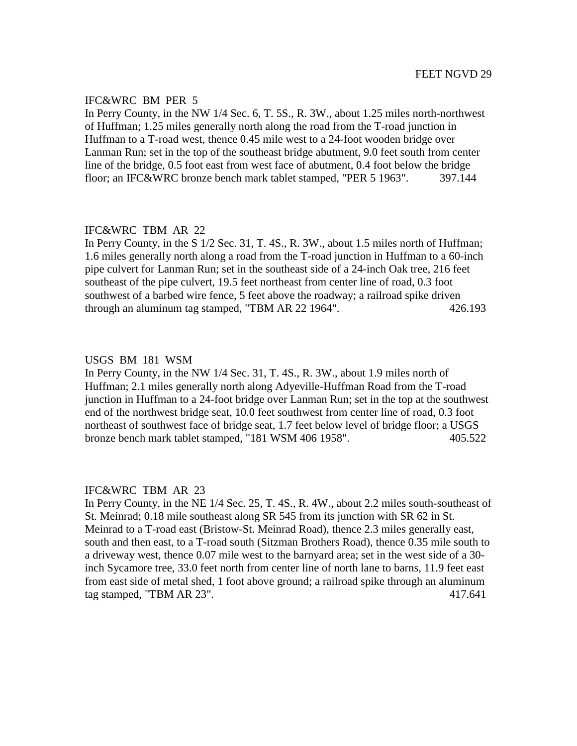In Perry County, in the NW 1/4 Sec. 6, T. 5S., R. 3W., about 1.25 miles north-northwest of Huffman; 1.25 miles generally north along the road from the T-road junction in Huffman to a T-road west, thence 0.45 mile west to a 24-foot wooden bridge over Lanman Run; set in the top of the southeast bridge abutment, 9.0 feet south from center line of the bridge, 0.5 foot east from west face of abutment, 0.4 foot below the bridge floor; an IFC&WRC bronze bench mark tablet stamped, "PER 5 1963". 397.144

## IFC&WRC TBM AR 22

In Perry County, in the S 1/2 Sec. 31, T. 4S., R. 3W., about 1.5 miles north of Huffman; 1.6 miles generally north along a road from the T-road junction in Huffman to a 60-inch pipe culvert for Lanman Run; set in the southeast side of a 24-inch Oak tree, 216 feet southeast of the pipe culvert, 19.5 feet northeast from center line of road, 0.3 foot southwest of a barbed wire fence, 5 feet above the roadway; a railroad spike driven through an aluminum tag stamped, "TBM AR 22 1964". 426.193

#### USGS BM 181 WSM

In Perry County, in the NW 1/4 Sec. 31, T. 4S., R. 3W., about 1.9 miles north of Huffman; 2.1 miles generally north along Adyeville-Huffman Road from the T-road junction in Huffman to a 24-foot bridge over Lanman Run; set in the top at the southwest end of the northwest bridge seat, 10.0 feet southwest from center line of road, 0.3 foot northeast of southwest face of bridge seat, 1.7 feet below level of bridge floor; a USGS bronze bench mark tablet stamped, "181 WSM 406 1958". 405.522

#### IFC&WRC TBM AR 23

In Perry County, in the NE 1/4 Sec. 25, T. 4S., R. 4W., about 2.2 miles south-southeast of St. Meinrad; 0.18 mile southeast along SR 545 from its junction with SR 62 in St. Meinrad to a T-road east (Bristow-St. Meinrad Road), thence 2.3 miles generally east, south and then east, to a T-road south (Sitzman Brothers Road), thence 0.35 mile south to a driveway west, thence 0.07 mile west to the barnyard area; set in the west side of a 30 inch Sycamore tree, 33.0 feet north from center line of north lane to barns, 11.9 feet east from east side of metal shed, 1 foot above ground; a railroad spike through an aluminum tag stamped, "TBM AR 23". 417.641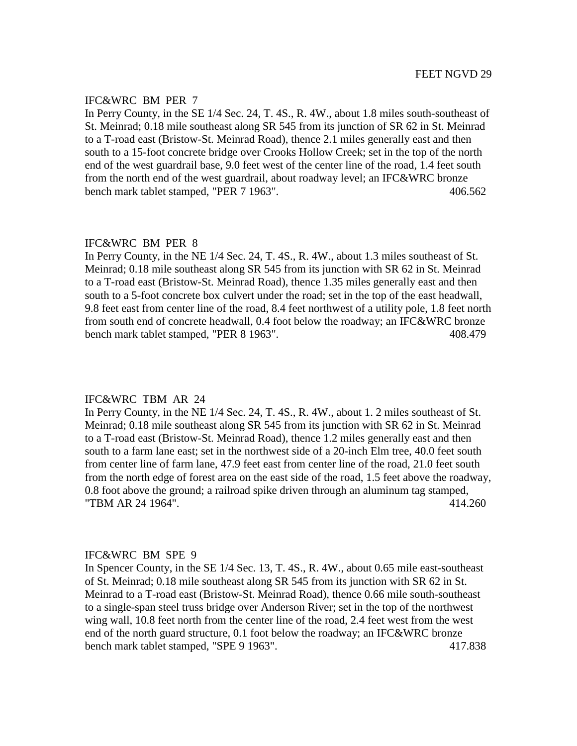In Perry County, in the SE 1/4 Sec. 24, T. 4S., R. 4W., about 1.8 miles south-southeast of St. Meinrad; 0.18 mile southeast along SR 545 from its junction of SR 62 in St. Meinrad to a T-road east (Bristow-St. Meinrad Road), thence 2.1 miles generally east and then south to a 15-foot concrete bridge over Crooks Hollow Creek; set in the top of the north end of the west guardrail base, 9.0 feet west of the center line of the road, 1.4 feet south from the north end of the west guardrail, about roadway level; an IFC&WRC bronze bench mark tablet stamped, "PER 7 1963". 406.562

# IFC&WRC BM PER 8

In Perry County, in the NE 1/4 Sec. 24, T. 4S., R. 4W., about 1.3 miles southeast of St. Meinrad; 0.18 mile southeast along SR 545 from its junction with SR 62 in St. Meinrad to a T-road east (Bristow-St. Meinrad Road), thence 1.35 miles generally east and then south to a 5-foot concrete box culvert under the road; set in the top of the east headwall, 9.8 feet east from center line of the road, 8.4 feet northwest of a utility pole, 1.8 feet north from south end of concrete headwall, 0.4 foot below the roadway; an IFC&WRC bronze bench mark tablet stamped, "PER 8 1963". 408.479

#### IFC&WRC TBM AR 24

In Perry County, in the NE 1/4 Sec. 24, T. 4S., R. 4W., about 1. 2 miles southeast of St. Meinrad; 0.18 mile southeast along SR 545 from its junction with SR 62 in St. Meinrad to a T-road east (Bristow-St. Meinrad Road), thence 1.2 miles generally east and then south to a farm lane east; set in the northwest side of a 20-inch Elm tree, 40.0 feet south from center line of farm lane, 47.9 feet east from center line of the road, 21.0 feet south from the north edge of forest area on the east side of the road, 1.5 feet above the roadway, 0.8 foot above the ground; a railroad spike driven through an aluminum tag stamped, "TBM AR 24 1964". 414.260

#### IFC&WRC BM SPE 9

In Spencer County, in the SE 1/4 Sec. 13, T. 4S., R. 4W., about 0.65 mile east-southeast of St. Meinrad; 0.18 mile southeast along SR 545 from its junction with SR 62 in St. Meinrad to a T-road east (Bristow-St. Meinrad Road), thence 0.66 mile south-southeast to a single-span steel truss bridge over Anderson River; set in the top of the northwest wing wall, 10.8 feet north from the center line of the road, 2.4 feet west from the west end of the north guard structure, 0.1 foot below the roadway; an IFC&WRC bronze bench mark tablet stamped, "SPE 9 1963". 417.838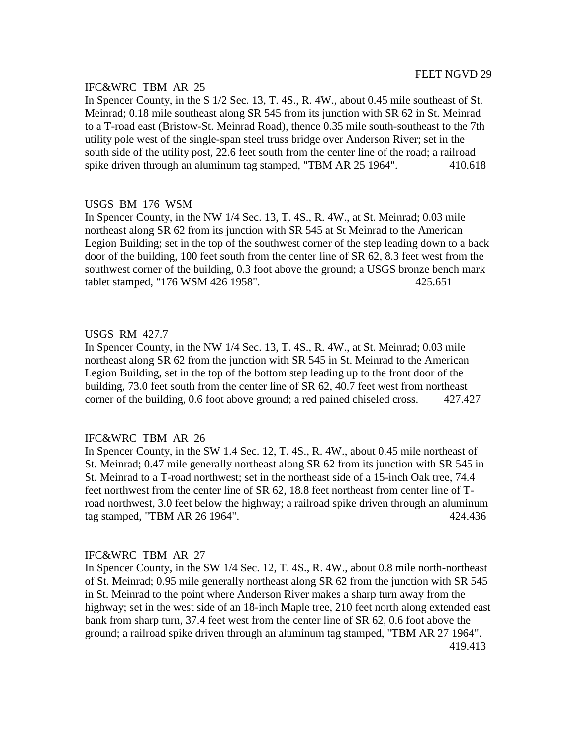# IFC&WRC TBM AR 25

In Spencer County, in the S 1/2 Sec. 13, T. 4S., R. 4W., about 0.45 mile southeast of St. Meinrad; 0.18 mile southeast along SR 545 from its junction with SR 62 in St. Meinrad to a T-road east (Bristow-St. Meinrad Road), thence 0.35 mile south-southeast to the 7th utility pole west of the single-span steel truss bridge over Anderson River; set in the south side of the utility post, 22.6 feet south from the center line of the road; a railroad spike driven through an aluminum tag stamped, "TBM AR 25 1964". 410.618

## USGS BM 176 WSM

In Spencer County, in the NW 1/4 Sec. 13, T. 4S., R. 4W., at St. Meinrad; 0.03 mile northeast along SR 62 from its junction with SR 545 at St Meinrad to the American Legion Building; set in the top of the southwest corner of the step leading down to a back door of the building, 100 feet south from the center line of SR 62, 8.3 feet west from the southwest corner of the building, 0.3 foot above the ground; a USGS bronze bench mark tablet stamped, "176 WSM 426 1958". 425.651

## USGS RM 427.7

In Spencer County, in the NW 1/4 Sec. 13, T. 4S., R. 4W., at St. Meinrad; 0.03 mile northeast along SR 62 from the junction with SR 545 in St. Meinrad to the American Legion Building, set in the top of the bottom step leading up to the front door of the building, 73.0 feet south from the center line of SR 62, 40.7 feet west from northeast corner of the building, 0.6 foot above ground; a red pained chiseled cross. 427.427

## IFC&WRC TBM AR 26

In Spencer County, in the SW 1.4 Sec. 12, T. 4S., R. 4W., about 0.45 mile northeast of St. Meinrad; 0.47 mile generally northeast along SR 62 from its junction with SR 545 in St. Meinrad to a T-road northwest; set in the northeast side of a 15-inch Oak tree, 74.4 feet northwest from the center line of SR 62, 18.8 feet northeast from center line of Troad northwest, 3.0 feet below the highway; a railroad spike driven through an aluminum tag stamped, "TBM AR 26 1964". 424.436

## IFC&WRC TBM AR 27

In Spencer County, in the SW 1/4 Sec. 12, T. 4S., R. 4W., about 0.8 mile north-northeast of St. Meinrad; 0.95 mile generally northeast along SR 62 from the junction with SR 545 in St. Meinrad to the point where Anderson River makes a sharp turn away from the highway; set in the west side of an 18-inch Maple tree, 210 feet north along extended east bank from sharp turn, 37.4 feet west from the center line of SR 62, 0.6 foot above the ground; a railroad spike driven through an aluminum tag stamped, "TBM AR 27 1964". 419.413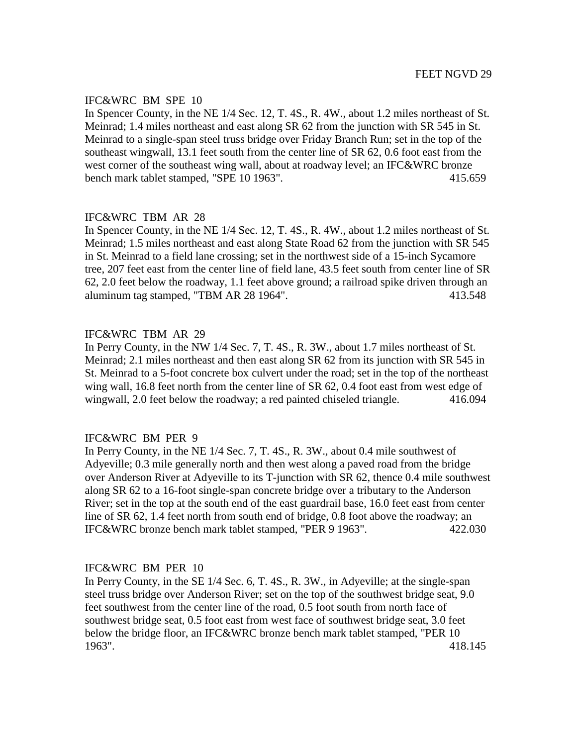In Spencer County, in the NE 1/4 Sec. 12, T. 4S., R. 4W., about 1.2 miles northeast of St. Meinrad; 1.4 miles northeast and east along SR 62 from the junction with SR 545 in St. Meinrad to a single-span steel truss bridge over Friday Branch Run; set in the top of the southeast wingwall, 13.1 feet south from the center line of SR 62, 0.6 foot east from the west corner of the southeast wing wall, about at roadway level; an IFC&WRC bronze bench mark tablet stamped, "SPE 10 1963". 415.659

# IFC&WRC TBM AR 28

In Spencer County, in the NE 1/4 Sec. 12, T. 4S., R. 4W., about 1.2 miles northeast of St. Meinrad; 1.5 miles northeast and east along State Road 62 from the junction with SR 545 in St. Meinrad to a field lane crossing; set in the northwest side of a 15-inch Sycamore tree, 207 feet east from the center line of field lane, 43.5 feet south from center line of SR 62, 2.0 feet below the roadway, 1.1 feet above ground; a railroad spike driven through an aluminum tag stamped, "TBM AR 28 1964". 413.548

# IFC&WRC TBM AR 29

In Perry County, in the NW 1/4 Sec. 7, T. 4S., R. 3W., about 1.7 miles northeast of St. Meinrad; 2.1 miles northeast and then east along SR 62 from its junction with SR 545 in St. Meinrad to a 5-foot concrete box culvert under the road; set in the top of the northeast wing wall, 16.8 feet north from the center line of SR 62, 0.4 foot east from west edge of wingwall, 2.0 feet below the roadway; a red painted chiseled triangle. 416.094

## IFC&WRC BM PER 9

In Perry County, in the NE 1/4 Sec. 7, T. 4S., R. 3W., about 0.4 mile southwest of Adyeville; 0.3 mile generally north and then west along a paved road from the bridge over Anderson River at Adyeville to its T-junction with SR 62, thence 0.4 mile southwest along SR 62 to a 16-foot single-span concrete bridge over a tributary to the Anderson River; set in the top at the south end of the east guardrail base, 16.0 feet east from center line of SR 62, 1.4 feet north from south end of bridge, 0.8 foot above the roadway; an IFC&WRC bronze bench mark tablet stamped, "PER 9 1963". 422.030

## IFC&WRC BM PER 10

In Perry County, in the SE 1/4 Sec. 6, T. 4S., R. 3W., in Adyeville; at the single-span steel truss bridge over Anderson River; set on the top of the southwest bridge seat, 9.0 feet southwest from the center line of the road, 0.5 foot south from north face of southwest bridge seat, 0.5 foot east from west face of southwest bridge seat, 3.0 feet below the bridge floor, an IFC&WRC bronze bench mark tablet stamped, "PER 10 1963". 418.145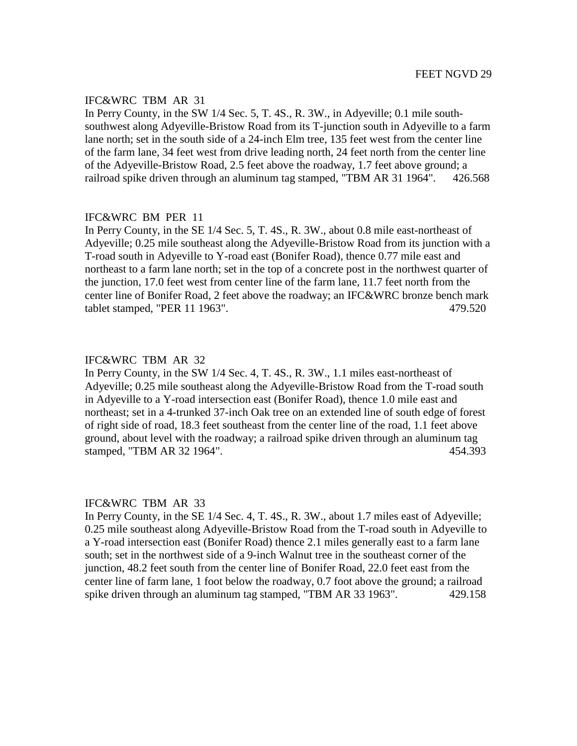## IFC&WRC TBM AR 31

In Perry County, in the SW 1/4 Sec. 5, T. 4S., R. 3W., in Adyeville; 0.1 mile southsouthwest along Adyeville-Bristow Road from its T-junction south in Adyeville to a farm lane north; set in the south side of a 24-inch Elm tree, 135 feet west from the center line of the farm lane, 34 feet west from drive leading north, 24 feet north from the center line of the Adyeville-Bristow Road, 2.5 feet above the roadway, 1.7 feet above ground; a railroad spike driven through an aluminum tag stamped, "TBM AR 31 1964". 426.568

# IFC&WRC BM PER 11

In Perry County, in the SE 1/4 Sec. 5, T. 4S., R. 3W., about 0.8 mile east-northeast of Adyeville; 0.25 mile southeast along the Adyeville-Bristow Road from its junction with a T-road south in Adyeville to Y-road east (Bonifer Road), thence 0.77 mile east and northeast to a farm lane north; set in the top of a concrete post in the northwest quarter of the junction, 17.0 feet west from center line of the farm lane, 11.7 feet north from the center line of Bonifer Road, 2 feet above the roadway; an IFC&WRC bronze bench mark tablet stamped, "PER 11 1963". 479.520

#### IFC&WRC TBM AR 32

In Perry County, in the SW 1/4 Sec. 4, T. 4S., R. 3W., 1.1 miles east-northeast of Adyeville; 0.25 mile southeast along the Adyeville-Bristow Road from the T-road south in Adyeville to a Y-road intersection east (Bonifer Road), thence 1.0 mile east and northeast; set in a 4-trunked 37-inch Oak tree on an extended line of south edge of forest of right side of road, 18.3 feet southeast from the center line of the road, 1.1 feet above ground, about level with the roadway; a railroad spike driven through an aluminum tag stamped, "TBM AR 32 1964". 454.393

## IFC&WRC TBM AR 33

In Perry County, in the SE 1/4 Sec. 4, T. 4S., R. 3W., about 1.7 miles east of Adyeville; 0.25 mile southeast along Adyeville-Bristow Road from the T-road south in Adyeville to a Y-road intersection east (Bonifer Road) thence 2.1 miles generally east to a farm lane south; set in the northwest side of a 9-inch Walnut tree in the southeast corner of the junction, 48.2 feet south from the center line of Bonifer Road, 22.0 feet east from the center line of farm lane, 1 foot below the roadway, 0.7 foot above the ground; a railroad spike driven through an aluminum tag stamped, "TBM AR 33 1963". 429.158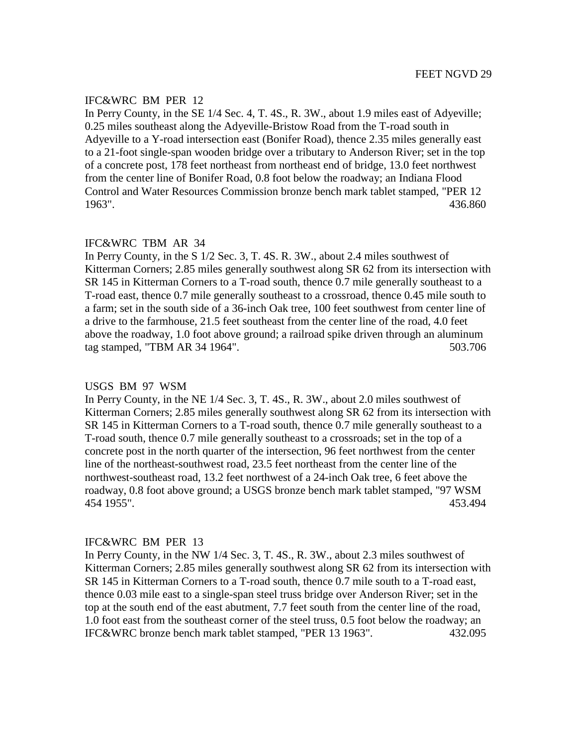In Perry County, in the SE 1/4 Sec. 4, T. 4S., R. 3W., about 1.9 miles east of Adyeville; 0.25 miles southeast along the Adyeville-Bristow Road from the T-road south in Adyeville to a Y-road intersection east (Bonifer Road), thence 2.35 miles generally east to a 21-foot single-span wooden bridge over a tributary to Anderson River; set in the top of a concrete post, 178 feet northeast from northeast end of bridge, 13.0 feet northwest from the center line of Bonifer Road, 0.8 foot below the roadway; an Indiana Flood Control and Water Resources Commission bronze bench mark tablet stamped, "PER 12 1963". 436.860

# IFC&WRC TBM AR 34

In Perry County, in the S 1/2 Sec. 3, T. 4S. R. 3W., about 2.4 miles southwest of Kitterman Corners; 2.85 miles generally southwest along SR 62 from its intersection with SR 145 in Kitterman Corners to a T-road south, thence 0.7 mile generally southeast to a T-road east, thence 0.7 mile generally southeast to a crossroad, thence 0.45 mile south to a farm; set in the south side of a 36-inch Oak tree, 100 feet southwest from center line of a drive to the farmhouse, 21.5 feet southeast from the center line of the road, 4.0 feet above the roadway, 1.0 foot above ground; a railroad spike driven through an aluminum tag stamped, "TBM AR 34 1964". 503.706

#### USGS BM 97 WSM

In Perry County, in the NE 1/4 Sec. 3, T. 4S., R. 3W., about 2.0 miles southwest of Kitterman Corners; 2.85 miles generally southwest along SR 62 from its intersection with SR 145 in Kitterman Corners to a T-road south, thence 0.7 mile generally southeast to a T-road south, thence 0.7 mile generally southeast to a crossroads; set in the top of a concrete post in the north quarter of the intersection, 96 feet northwest from the center line of the northeast-southwest road, 23.5 feet northeast from the center line of the northwest-southeast road, 13.2 feet northwest of a 24-inch Oak tree, 6 feet above the roadway, 0.8 foot above ground; a USGS bronze bench mark tablet stamped, "97 WSM 454 1955". 453.494

#### IFC&WRC BM PER 13

In Perry County, in the NW 1/4 Sec. 3, T. 4S., R. 3W., about 2.3 miles southwest of Kitterman Corners; 2.85 miles generally southwest along SR 62 from its intersection with SR 145 in Kitterman Corners to a T-road south, thence 0.7 mile south to a T-road east, thence 0.03 mile east to a single-span steel truss bridge over Anderson River; set in the top at the south end of the east abutment, 7.7 feet south from the center line of the road, 1.0 foot east from the southeast corner of the steel truss, 0.5 foot below the roadway; an IFC&WRC bronze bench mark tablet stamped, "PER 13 1963". 432.095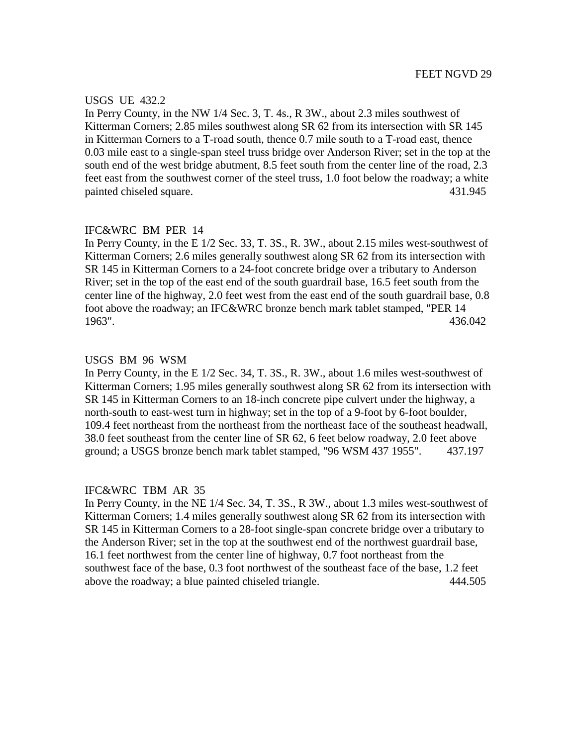#### USGS UE 432.2

In Perry County, in the NW 1/4 Sec. 3, T. 4s., R 3W., about 2.3 miles southwest of Kitterman Corners; 2.85 miles southwest along SR 62 from its intersection with SR 145 in Kitterman Corners to a T-road south, thence 0.7 mile south to a T-road east, thence 0.03 mile east to a single-span steel truss bridge over Anderson River; set in the top at the south end of the west bridge abutment, 8.5 feet south from the center line of the road, 2.3 feet east from the southwest corner of the steel truss, 1.0 foot below the roadway; a white painted chiseled square. 431.945

#### IFC&WRC BM PER 14

In Perry County, in the E 1/2 Sec. 33, T. 3S., R. 3W., about 2.15 miles west-southwest of Kitterman Corners; 2.6 miles generally southwest along SR 62 from its intersection with SR 145 in Kitterman Corners to a 24-foot concrete bridge over a tributary to Anderson River; set in the top of the east end of the south guardrail base, 16.5 feet south from the center line of the highway, 2.0 feet west from the east end of the south guardrail base, 0.8 foot above the roadway; an IFC&WRC bronze bench mark tablet stamped, "PER 14 1963". 436.042

#### USGS BM 96 WSM

In Perry County, in the E 1/2 Sec. 34, T. 3S., R. 3W., about 1.6 miles west-southwest of Kitterman Corners; 1.95 miles generally southwest along SR 62 from its intersection with SR 145 in Kitterman Corners to an 18-inch concrete pipe culvert under the highway, a north-south to east-west turn in highway; set in the top of a 9-foot by 6-foot boulder, 109.4 feet northeast from the northeast from the northeast face of the southeast headwall, 38.0 feet southeast from the center line of SR 62, 6 feet below roadway, 2.0 feet above ground; a USGS bronze bench mark tablet stamped, "96 WSM 437 1955". 437.197

#### IFC&WRC TBM AR 35

In Perry County, in the NE 1/4 Sec. 34, T. 3S., R 3W., about 1.3 miles west-southwest of Kitterman Corners; 1.4 miles generally southwest along SR 62 from its intersection with SR 145 in Kitterman Corners to a 28-foot single-span concrete bridge over a tributary to the Anderson River; set in the top at the southwest end of the northwest guardrail base, 16.1 feet northwest from the center line of highway, 0.7 foot northeast from the southwest face of the base, 0.3 foot northwest of the southeast face of the base, 1.2 feet above the roadway; a blue painted chiseled triangle. 444.505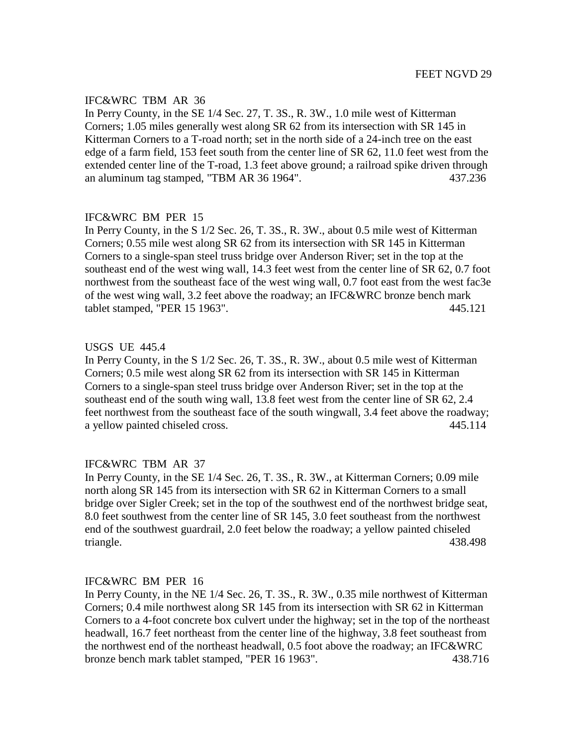# IFC&WRC TBM AR 36

In Perry County, in the SE 1/4 Sec. 27, T. 3S., R. 3W., 1.0 mile west of Kitterman Corners; 1.05 miles generally west along SR 62 from its intersection with SR 145 in Kitterman Corners to a T-road north; set in the north side of a 24-inch tree on the east edge of a farm field, 153 feet south from the center line of SR 62, 11.0 feet west from the extended center line of the T-road, 1.3 feet above ground; a railroad spike driven through an aluminum tag stamped, "TBM AR 36 1964". 437.236

# IFC&WRC BM PER 15

In Perry County, in the S 1/2 Sec. 26, T. 3S., R. 3W., about 0.5 mile west of Kitterman Corners; 0.55 mile west along SR 62 from its intersection with SR 145 in Kitterman Corners to a single-span steel truss bridge over Anderson River; set in the top at the southeast end of the west wing wall, 14.3 feet west from the center line of SR 62, 0.7 foot northwest from the southeast face of the west wing wall, 0.7 foot east from the west fac3e of the west wing wall, 3.2 feet above the roadway; an IFC&WRC bronze bench mark tablet stamped, "PER 15 1963". 445.121

# USGS UE 445.4

In Perry County, in the S 1/2 Sec. 26, T. 3S., R. 3W., about 0.5 mile west of Kitterman Corners; 0.5 mile west along SR 62 from its intersection with SR 145 in Kitterman Corners to a single-span steel truss bridge over Anderson River; set in the top at the southeast end of the south wing wall, 13.8 feet west from the center line of SR 62, 2.4 feet northwest from the southeast face of the south wingwall, 3.4 feet above the roadway; a yellow painted chiseled cross. 445.114

# IFC&WRC TBM AR 37

In Perry County, in the SE 1/4 Sec. 26, T. 3S., R. 3W., at Kitterman Corners; 0.09 mile north along SR 145 from its intersection with SR 62 in Kitterman Corners to a small bridge over Sigler Creek; set in the top of the southwest end of the northwest bridge seat, 8.0 feet southwest from the center line of SR 145, 3.0 feet southeast from the northwest end of the southwest guardrail, 2.0 feet below the roadway; a yellow painted chiseled triangle. 438.498

## IFC&WRC BM PER 16

In Perry County, in the NE 1/4 Sec. 26, T. 3S., R. 3W., 0.35 mile northwest of Kitterman Corners; 0.4 mile northwest along SR 145 from its intersection with SR 62 in Kitterman Corners to a 4-foot concrete box culvert under the highway; set in the top of the northeast headwall, 16.7 feet northeast from the center line of the highway, 3.8 feet southeast from the northwest end of the northeast headwall, 0.5 foot above the roadway; an IFC&WRC bronze bench mark tablet stamped, "PER 16 1963". 438.716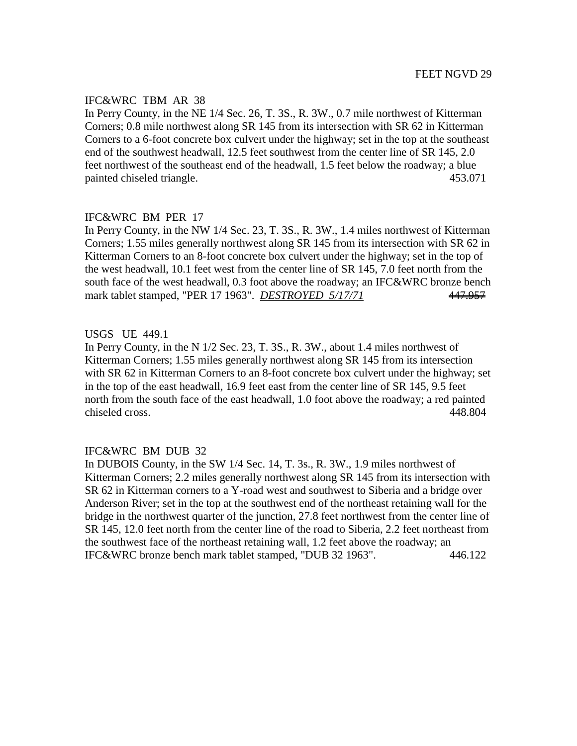# IFC&WRC TBM AR 38

In Perry County, in the NE 1/4 Sec. 26, T. 3S., R. 3W., 0.7 mile northwest of Kitterman Corners; 0.8 mile northwest along SR 145 from its intersection with SR 62 in Kitterman Corners to a 6-foot concrete box culvert under the highway; set in the top at the southeast end of the southwest headwall, 12.5 feet southwest from the center line of SR 145, 2.0 feet northwest of the southeast end of the headwall, 1.5 feet below the roadway; a blue painted chiseled triangle. 453.071

# IFC&WRC BM PER 17

In Perry County, in the NW 1/4 Sec. 23, T. 3S., R. 3W., 1.4 miles northwest of Kitterman Corners; 1.55 miles generally northwest along SR 145 from its intersection with SR 62 in Kitterman Corners to an 8-foot concrete box culvert under the highway; set in the top of the west headwall, 10.1 feet west from the center line of SR 145, 7.0 feet north from the south face of the west headwall, 0.3 foot above the roadway; an IFC&WRC bronze bench mark tablet stamped, "PER 17 1963". *DESTROYED 5/17/71* 447.957

# USGS UE 449.1

In Perry County, in the N 1/2 Sec. 23, T. 3S., R. 3W., about 1.4 miles northwest of Kitterman Corners; 1.55 miles generally northwest along SR 145 from its intersection with SR 62 in Kitterman Corners to an 8-foot concrete box culvert under the highway; set in the top of the east headwall, 16.9 feet east from the center line of SR 145, 9.5 feet north from the south face of the east headwall, 1.0 foot above the roadway; a red painted chiseled cross. 448.804

## IFC&WRC BM DUB 32

In DUBOIS County, in the SW 1/4 Sec. 14, T. 3s., R. 3W., 1.9 miles northwest of Kitterman Corners; 2.2 miles generally northwest along SR 145 from its intersection with SR 62 in Kitterman corners to a Y-road west and southwest to Siberia and a bridge over Anderson River; set in the top at the southwest end of the northeast retaining wall for the bridge in the northwest quarter of the junction, 27.8 feet northwest from the center line of SR 145, 12.0 feet north from the center line of the road to Siberia, 2.2 feet northeast from the southwest face of the northeast retaining wall, 1.2 feet above the roadway; an IFC&WRC bronze bench mark tablet stamped, "DUB 32 1963". 446.122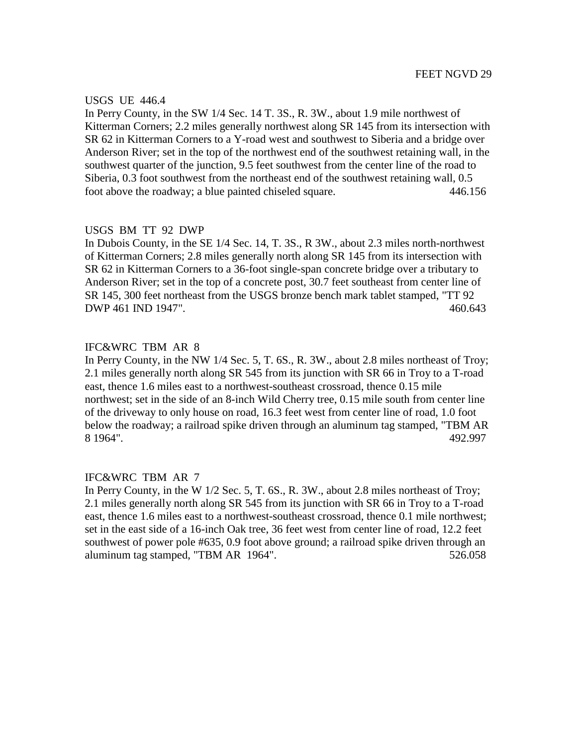#### USGS UE 446.4

In Perry County, in the SW 1/4 Sec. 14 T. 3S., R. 3W., about 1.9 mile northwest of Kitterman Corners; 2.2 miles generally northwest along SR 145 from its intersection with SR 62 in Kitterman Corners to a Y-road west and southwest to Siberia and a bridge over Anderson River; set in the top of the northwest end of the southwest retaining wall, in the southwest quarter of the junction, 9.5 feet southwest from the center line of the road to Siberia, 0.3 foot southwest from the northeast end of the southwest retaining wall, 0.5 foot above the roadway; a blue painted chiseled square. 446.156

## USGS BM TT 92 DWP

In Dubois County, in the SE 1/4 Sec. 14, T. 3S., R 3W., about 2.3 miles north-northwest of Kitterman Corners; 2.8 miles generally north along SR 145 from its intersection with SR 62 in Kitterman Corners to a 36-foot single-span concrete bridge over a tributary to Anderson River; set in the top of a concrete post, 30.7 feet southeast from center line of SR 145, 300 feet northeast from the USGS bronze bench mark tablet stamped, "TT 92 DWP 461 IND 1947". 460.643

# IFC&WRC TBM AR 8

In Perry County, in the NW 1/4 Sec. 5, T. 6S., R. 3W., about 2.8 miles northeast of Troy; 2.1 miles generally north along SR 545 from its junction with SR 66 in Troy to a T-road east, thence 1.6 miles east to a northwest-southeast crossroad, thence 0.15 mile northwest; set in the side of an 8-inch Wild Cherry tree, 0.15 mile south from center line of the driveway to only house on road, 16.3 feet west from center line of road, 1.0 foot below the roadway; a railroad spike driven through an aluminum tag stamped, "TBM AR 8 1964". 492.997

# IFC&WRC TBM AR 7

In Perry County, in the W 1/2 Sec. 5, T. 6S., R. 3W., about 2.8 miles northeast of Troy; 2.1 miles generally north along SR 545 from its junction with SR 66 in Troy to a T-road east, thence 1.6 miles east to a northwest-southeast crossroad, thence 0.1 mile northwest; set in the east side of a 16-inch Oak tree, 36 feet west from center line of road, 12.2 feet southwest of power pole #635, 0.9 foot above ground; a railroad spike driven through an aluminum tag stamped, "TBM AR 1964". 526.058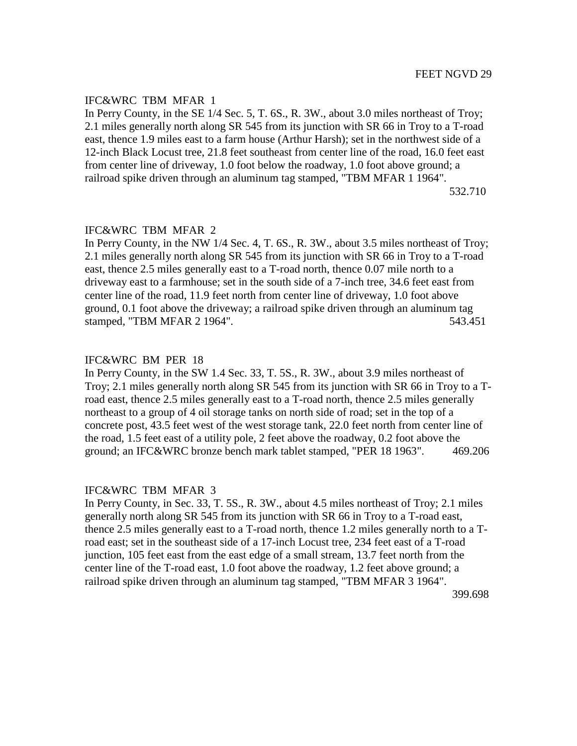## IFC&WRC TBM MFAR 1

In Perry County, in the SE 1/4 Sec. 5, T. 6S., R. 3W., about 3.0 miles northeast of Troy; 2.1 miles generally north along SR 545 from its junction with SR 66 in Troy to a T-road east, thence 1.9 miles east to a farm house (Arthur Harsh); set in the northwest side of a 12-inch Black Locust tree, 21.8 feet southeast from center line of the road, 16.0 feet east from center line of driveway, 1.0 foot below the roadway, 1.0 foot above ground; a railroad spike driven through an aluminum tag stamped, "TBM MFAR 1 1964".

532.710

# IFC&WRC TBM MFAR 2

In Perry County, in the NW 1/4 Sec. 4, T. 6S., R. 3W., about 3.5 miles northeast of Troy; 2.1 miles generally north along SR 545 from its junction with SR 66 in Troy to a T-road east, thence 2.5 miles generally east to a T-road north, thence 0.07 mile north to a driveway east to a farmhouse; set in the south side of a 7-inch tree, 34.6 feet east from center line of the road, 11.9 feet north from center line of driveway, 1.0 foot above ground, 0.1 foot above the driveway; a railroad spike driven through an aluminum tag stamped, "TBM MFAR 2 1964". 543.451

#### IFC&WRC BM PER 18

In Perry County, in the SW 1.4 Sec. 33, T. 5S., R. 3W., about 3.9 miles northeast of Troy; 2.1 miles generally north along SR 545 from its junction with SR 66 in Troy to a Troad east, thence 2.5 miles generally east to a T-road north, thence 2.5 miles generally northeast to a group of 4 oil storage tanks on north side of road; set in the top of a concrete post, 43.5 feet west of the west storage tank, 22.0 feet north from center line of the road, 1.5 feet east of a utility pole, 2 feet above the roadway, 0.2 foot above the ground; an IFC&WRC bronze bench mark tablet stamped, "PER 18 1963". 469.206

#### IFC&WRC TBM MFAR 3

In Perry County, in Sec. 33, T. 5S., R. 3W., about 4.5 miles northeast of Troy; 2.1 miles generally north along SR 545 from its junction with SR 66 in Troy to a T-road east, thence 2.5 miles generally east to a T-road north, thence 1.2 miles generally north to a Troad east; set in the southeast side of a 17-inch Locust tree, 234 feet east of a T-road junction, 105 feet east from the east edge of a small stream, 13.7 feet north from the center line of the T-road east, 1.0 foot above the roadway, 1.2 feet above ground; a railroad spike driven through an aluminum tag stamped, "TBM MFAR 3 1964".

399.698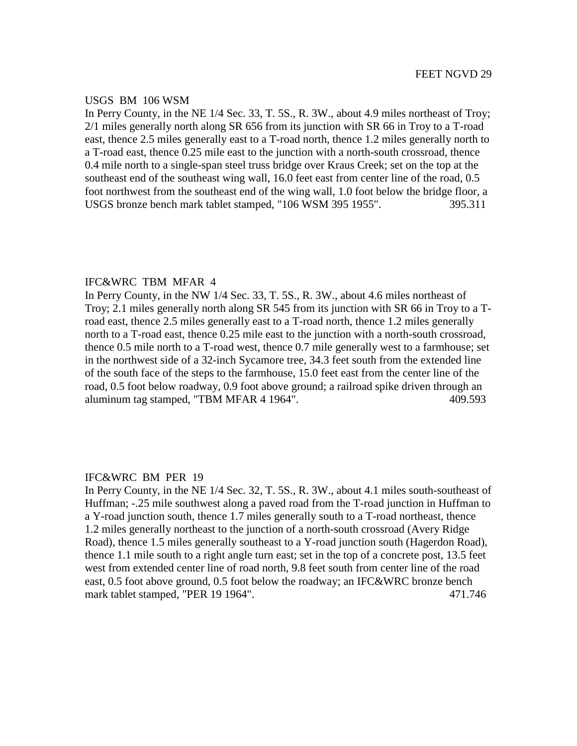## USGS BM 106 WSM

In Perry County, in the NE 1/4 Sec. 33, T. 5S., R. 3W., about 4.9 miles northeast of Troy; 2/1 miles generally north along SR 656 from its junction with SR 66 in Troy to a T-road east, thence 2.5 miles generally east to a T-road north, thence 1.2 miles generally north to a T-road east, thence 0.25 mile east to the junction with a north-south crossroad, thence 0.4 mile north to a single-span steel truss bridge over Kraus Creek; set on the top at the southeast end of the southeast wing wall, 16.0 feet east from center line of the road, 0.5 foot northwest from the southeast end of the wing wall, 1.0 foot below the bridge floor, a USGS bronze bench mark tablet stamped, "106 WSM 395 1955". 395.311

## IFC&WRC TBM MFAR 4

In Perry County, in the NW 1/4 Sec. 33, T. 5S., R. 3W., about 4.6 miles northeast of Troy; 2.1 miles generally north along SR 545 from its junction with SR 66 in Troy to a Troad east, thence 2.5 miles generally east to a T-road north, thence 1.2 miles generally north to a T-road east, thence 0.25 mile east to the junction with a north-south crossroad, thence 0.5 mile north to a T-road west, thence 0.7 mile generally west to a farmhouse; set in the northwest side of a 32-inch Sycamore tree, 34.3 feet south from the extended line of the south face of the steps to the farmhouse, 15.0 feet east from the center line of the road, 0.5 foot below roadway, 0.9 foot above ground; a railroad spike driven through an aluminum tag stamped, "TBM MFAR 4 1964". 409.593

# IFC&WRC BM PER 19

In Perry County, in the NE 1/4 Sec. 32, T. 5S., R. 3W., about 4.1 miles south-southeast of Huffman; -.25 mile southwest along a paved road from the T-road junction in Huffman to a Y-road junction south, thence 1.7 miles generally south to a T-road northeast, thence 1.2 miles generally northeast to the junction of a north-south crossroad (Avery Ridge Road), thence 1.5 miles generally southeast to a Y-road junction south (Hagerdon Road), thence 1.1 mile south to a right angle turn east; set in the top of a concrete post, 13.5 feet west from extended center line of road north, 9.8 feet south from center line of the road east, 0.5 foot above ground, 0.5 foot below the roadway; an IFC&WRC bronze bench mark tablet stamped, "PER 19 1964". 471.746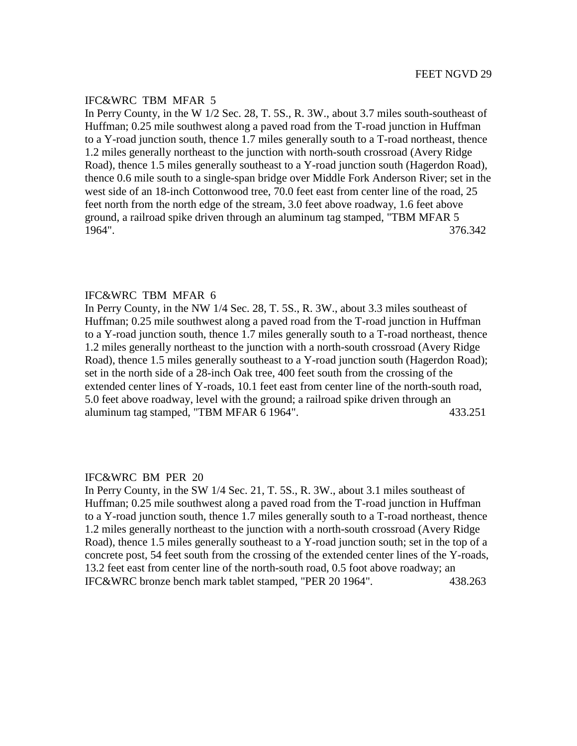## IFC&WRC TBM MFAR 5

In Perry County, in the W 1/2 Sec. 28, T. 5S., R. 3W., about 3.7 miles south-southeast of Huffman; 0.25 mile southwest along a paved road from the T-road junction in Huffman to a Y-road junction south, thence 1.7 miles generally south to a T-road northeast, thence 1.2 miles generally northeast to the junction with north-south crossroad (Avery Ridge Road), thence 1.5 miles generally southeast to a Y-road junction south (Hagerdon Road), thence 0.6 mile south to a single-span bridge over Middle Fork Anderson River; set in the west side of an 18-inch Cottonwood tree, 70.0 feet east from center line of the road, 25 feet north from the north edge of the stream, 3.0 feet above roadway, 1.6 feet above ground, a railroad spike driven through an aluminum tag stamped, "TBM MFAR 5 1964". 376.342

## IFC&WRC TBM MFAR 6

In Perry County, in the NW 1/4 Sec. 28, T. 5S., R. 3W., about 3.3 miles southeast of Huffman; 0.25 mile southwest along a paved road from the T-road junction in Huffman to a Y-road junction south, thence 1.7 miles generally south to a T-road northeast, thence 1.2 miles generally northeast to the junction with a north-south crossroad (Avery Ridge Road), thence 1.5 miles generally southeast to a Y-road junction south (Hagerdon Road); set in the north side of a 28-inch Oak tree, 400 feet south from the crossing of the extended center lines of Y-roads, 10.1 feet east from center line of the north-south road, 5.0 feet above roadway, level with the ground; a railroad spike driven through an aluminum tag stamped, "TBM MFAR 6 1964". 433.251

# IFC&WRC BM PER 20

In Perry County, in the SW 1/4 Sec. 21, T. 5S., R. 3W., about 3.1 miles southeast of Huffman; 0.25 mile southwest along a paved road from the T-road junction in Huffman to a Y-road junction south, thence 1.7 miles generally south to a T-road northeast, thence 1.2 miles generally northeast to the junction with a north-south crossroad (Avery Ridge Road), thence 1.5 miles generally southeast to a Y-road junction south; set in the top of a concrete post, 54 feet south from the crossing of the extended center lines of the Y-roads, 13.2 feet east from center line of the north-south road, 0.5 foot above roadway; an IFC&WRC bronze bench mark tablet stamped, "PER 20 1964". 438.263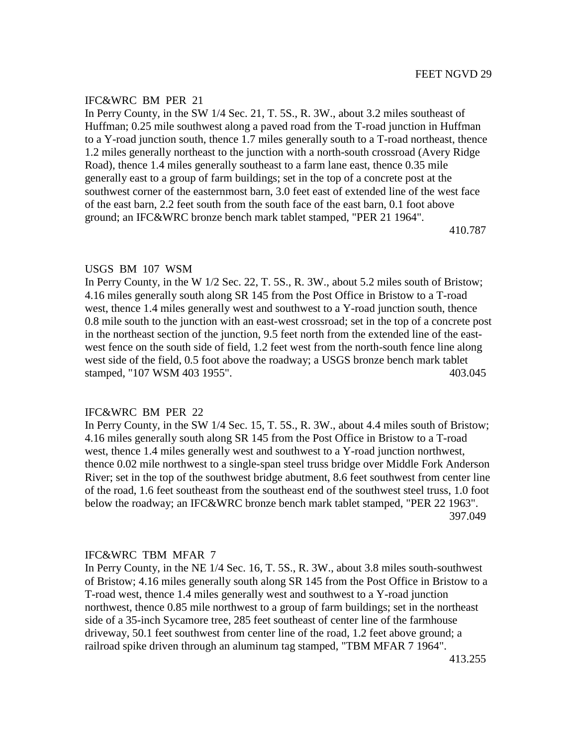In Perry County, in the SW 1/4 Sec. 21, T. 5S., R. 3W., about 3.2 miles southeast of Huffman; 0.25 mile southwest along a paved road from the T-road junction in Huffman to a Y-road junction south, thence 1.7 miles generally south to a T-road northeast, thence 1.2 miles generally northeast to the junction with a north-south crossroad (Avery Ridge Road), thence 1.4 miles generally southeast to a farm lane east, thence 0.35 mile generally east to a group of farm buildings; set in the top of a concrete post at the southwest corner of the easternmost barn, 3.0 feet east of extended line of the west face of the east barn, 2.2 feet south from the south face of the east barn, 0.1 foot above ground; an IFC&WRC bronze bench mark tablet stamped, "PER 21 1964".

410.787

#### USGS BM 107 WSM

In Perry County, in the W 1/2 Sec. 22, T. 5S., R. 3W., about 5.2 miles south of Bristow; 4.16 miles generally south along SR 145 from the Post Office in Bristow to a T-road west, thence 1.4 miles generally west and southwest to a Y-road junction south, thence 0.8 mile south to the junction with an east-west crossroad; set in the top of a concrete post in the northeast section of the junction, 9.5 feet north from the extended line of the eastwest fence on the south side of field, 1.2 feet west from the north-south fence line along west side of the field, 0.5 foot above the roadway; a USGS bronze bench mark tablet stamped, "107 WSM 403 1955". 403.045

## IFC&WRC BM PER 22

In Perry County, in the SW 1/4 Sec. 15, T. 5S., R. 3W., about 4.4 miles south of Bristow; 4.16 miles generally south along SR 145 from the Post Office in Bristow to a T-road west, thence 1.4 miles generally west and southwest to a Y-road junction northwest, thence 0.02 mile northwest to a single-span steel truss bridge over Middle Fork Anderson River; set in the top of the southwest bridge abutment, 8.6 feet southwest from center line of the road, 1.6 feet southeast from the southeast end of the southwest steel truss, 1.0 foot below the roadway; an IFC&WRC bronze bench mark tablet stamped, "PER 22 1963". 397.049

#### IFC&WRC TBM MFAR 7

In Perry County, in the NE 1/4 Sec. 16, T. 5S., R. 3W., about 3.8 miles south-southwest of Bristow; 4.16 miles generally south along SR 145 from the Post Office in Bristow to a T-road west, thence 1.4 miles generally west and southwest to a Y-road junction northwest, thence 0.85 mile northwest to a group of farm buildings; set in the northeast side of a 35-inch Sycamore tree, 285 feet southeast of center line of the farmhouse driveway, 50.1 feet southwest from center line of the road, 1.2 feet above ground; a railroad spike driven through an aluminum tag stamped, "TBM MFAR 7 1964".

413.255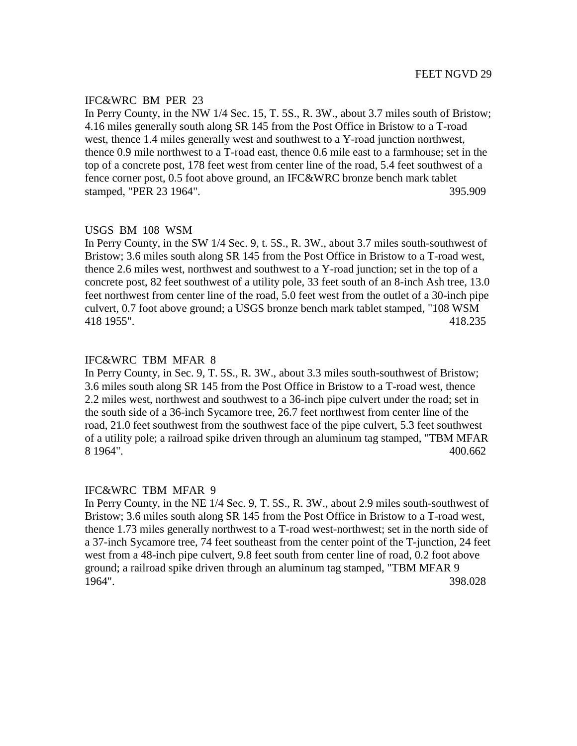In Perry County, in the NW 1/4 Sec. 15, T. 5S., R. 3W., about 3.7 miles south of Bristow; 4.16 miles generally south along SR 145 from the Post Office in Bristow to a T-road west, thence 1.4 miles generally west and southwest to a Y-road junction northwest, thence 0.9 mile northwest to a T-road east, thence 0.6 mile east to a farmhouse; set in the top of a concrete post, 178 feet west from center line of the road, 5.4 feet southwest of a fence corner post, 0.5 foot above ground, an IFC&WRC bronze bench mark tablet stamped, "PER 23 1964". 395.909

#### USGS BM 108 WSM

In Perry County, in the SW 1/4 Sec. 9, t. 5S., R. 3W., about 3.7 miles south-southwest of Bristow; 3.6 miles south along SR 145 from the Post Office in Bristow to a T-road west, thence 2.6 miles west, northwest and southwest to a Y-road junction; set in the top of a concrete post, 82 feet southwest of a utility pole, 33 feet south of an 8-inch Ash tree, 13.0 feet northwest from center line of the road, 5.0 feet west from the outlet of a 30-inch pipe culvert, 0.7 foot above ground; a USGS bronze bench mark tablet stamped, "108 WSM 418 1955". 418.235

## IFC&WRC TBM MFAR 8

In Perry County, in Sec. 9, T. 5S., R. 3W., about 3.3 miles south-southwest of Bristow; 3.6 miles south along SR 145 from the Post Office in Bristow to a T-road west, thence 2.2 miles west, northwest and southwest to a 36-inch pipe culvert under the road; set in the south side of a 36-inch Sycamore tree, 26.7 feet northwest from center line of the road, 21.0 feet southwest from the southwest face of the pipe culvert, 5.3 feet southwest of a utility pole; a railroad spike driven through an aluminum tag stamped, "TBM MFAR 8 1964". 400.662

#### IFC&WRC TBM MFAR 9

In Perry County, in the NE 1/4 Sec. 9, T. 5S., R. 3W., about 2.9 miles south-southwest of Bristow; 3.6 miles south along SR 145 from the Post Office in Bristow to a T-road west, thence 1.73 miles generally northwest to a T-road west-northwest; set in the north side of a 37-inch Sycamore tree, 74 feet southeast from the center point of the T-junction, 24 feet west from a 48-inch pipe culvert, 9.8 feet south from center line of road, 0.2 foot above ground; a railroad spike driven through an aluminum tag stamped, "TBM MFAR 9 1964". 398.028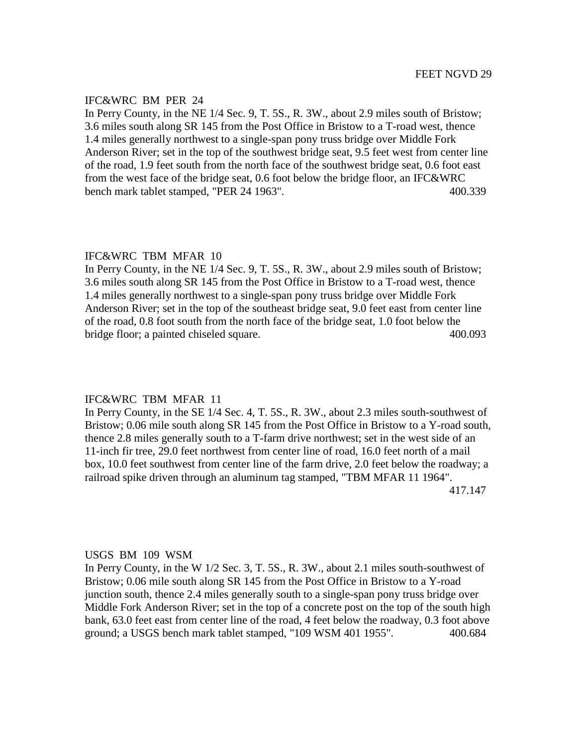In Perry County, in the NE 1/4 Sec. 9, T. 5S., R. 3W., about 2.9 miles south of Bristow; 3.6 miles south along SR 145 from the Post Office in Bristow to a T-road west, thence 1.4 miles generally northwest to a single-span pony truss bridge over Middle Fork Anderson River; set in the top of the southwest bridge seat, 9.5 feet west from center line of the road, 1.9 feet south from the north face of the southwest bridge seat, 0.6 foot east from the west face of the bridge seat, 0.6 foot below the bridge floor, an IFC&WRC bench mark tablet stamped, "PER 24 1963". 400.339

#### IFC&WRC TBM MFAR 10

In Perry County, in the NE 1/4 Sec. 9, T. 5S., R. 3W., about 2.9 miles south of Bristow; 3.6 miles south along SR 145 from the Post Office in Bristow to a T-road west, thence 1.4 miles generally northwest to a single-span pony truss bridge over Middle Fork Anderson River; set in the top of the southeast bridge seat, 9.0 feet east from center line of the road, 0.8 foot south from the north face of the bridge seat, 1.0 foot below the bridge floor; a painted chiseled square. 400.093

#### IFC&WRC TBM MFAR 11

In Perry County, in the SE 1/4 Sec. 4, T. 5S., R. 3W., about 2.3 miles south-southwest of Bristow; 0.06 mile south along SR 145 from the Post Office in Bristow to a Y-road south, thence 2.8 miles generally south to a T-farm drive northwest; set in the west side of an 11-inch fir tree, 29.0 feet northwest from center line of road, 16.0 feet north of a mail box, 10.0 feet southwest from center line of the farm drive, 2.0 feet below the roadway; a railroad spike driven through an aluminum tag stamped, "TBM MFAR 11 1964". 417.147

#### USGS BM 109 WSM

In Perry County, in the W 1/2 Sec. 3, T. 5S., R. 3W., about 2.1 miles south-southwest of Bristow; 0.06 mile south along SR 145 from the Post Office in Bristow to a Y-road junction south, thence 2.4 miles generally south to a single-span pony truss bridge over Middle Fork Anderson River; set in the top of a concrete post on the top of the south high bank, 63.0 feet east from center line of the road, 4 feet below the roadway, 0.3 foot above ground; a USGS bench mark tablet stamped, "109 WSM 401 1955". 400.684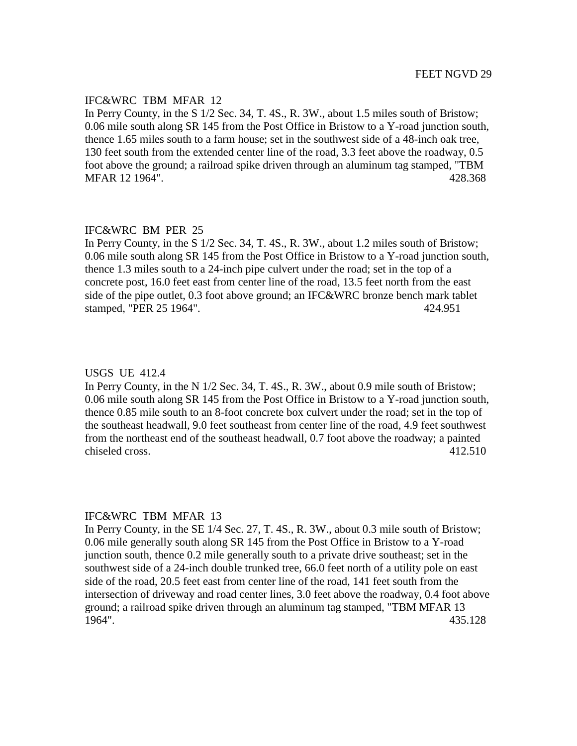## IFC&WRC TBM MFAR 12

In Perry County, in the S 1/2 Sec. 34, T. 4S., R. 3W., about 1.5 miles south of Bristow; 0.06 mile south along SR 145 from the Post Office in Bristow to a Y-road junction south, thence 1.65 miles south to a farm house; set in the southwest side of a 48-inch oak tree, 130 feet south from the extended center line of the road, 3.3 feet above the roadway, 0.5 foot above the ground; a railroad spike driven through an aluminum tag stamped, "TBM MFAR 12 1964". 428.368

## IFC&WRC BM PER 25

In Perry County, in the S 1/2 Sec. 34, T. 4S., R. 3W., about 1.2 miles south of Bristow; 0.06 mile south along SR 145 from the Post Office in Bristow to a Y-road junction south, thence 1.3 miles south to a 24-inch pipe culvert under the road; set in the top of a concrete post, 16.0 feet east from center line of the road, 13.5 feet north from the east side of the pipe outlet, 0.3 foot above ground; an IFC&WRC bronze bench mark tablet stamped, "PER 25 1964". 424.951

#### USGS UE 412.4

In Perry County, in the N 1/2 Sec. 34, T. 4S., R. 3W., about 0.9 mile south of Bristow; 0.06 mile south along SR 145 from the Post Office in Bristow to a Y-road junction south, thence 0.85 mile south to an 8-foot concrete box culvert under the road; set in the top of the southeast headwall, 9.0 feet southeast from center line of the road, 4.9 feet southwest from the northeast end of the southeast headwall, 0.7 foot above the roadway; a painted chiseled cross. 412.510

#### IFC&WRC TBM MFAR 13

In Perry County, in the SE 1/4 Sec. 27, T. 4S., R. 3W., about 0.3 mile south of Bristow; 0.06 mile generally south along SR 145 from the Post Office in Bristow to a Y-road junction south, thence 0.2 mile generally south to a private drive southeast; set in the southwest side of a 24-inch double trunked tree, 66.0 feet north of a utility pole on east side of the road, 20.5 feet east from center line of the road, 141 feet south from the intersection of driveway and road center lines, 3.0 feet above the roadway, 0.4 foot above ground; a railroad spike driven through an aluminum tag stamped, "TBM MFAR 13 1964". 435.128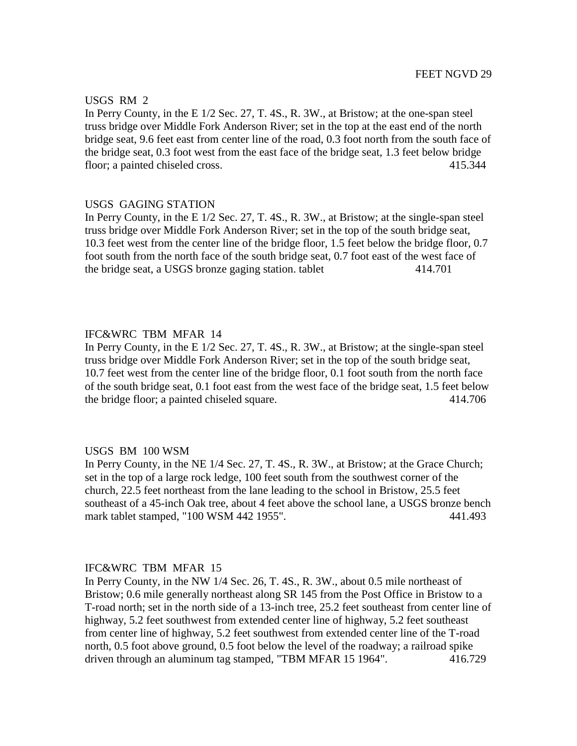## USGS RM 2

In Perry County, in the E 1/2 Sec. 27, T. 4S., R. 3W., at Bristow; at the one-span steel truss bridge over Middle Fork Anderson River; set in the top at the east end of the north bridge seat, 9.6 feet east from center line of the road, 0.3 foot north from the south face of the bridge seat, 0.3 foot west from the east face of the bridge seat, 1.3 feet below bridge floor; a painted chiseled cross. 415.344

#### USGS GAGING STATION

In Perry County, in the E 1/2 Sec. 27, T. 4S., R. 3W., at Bristow; at the single-span steel truss bridge over Middle Fork Anderson River; set in the top of the south bridge seat, 10.3 feet west from the center line of the bridge floor, 1.5 feet below the bridge floor, 0.7 foot south from the north face of the south bridge seat, 0.7 foot east of the west face of the bridge seat, a USGS bronze gaging station. tablet 414.701

## IFC&WRC TBM MFAR 14

In Perry County, in the E 1/2 Sec. 27, T. 4S., R. 3W., at Bristow; at the single-span steel truss bridge over Middle Fork Anderson River; set in the top of the south bridge seat, 10.7 feet west from the center line of the bridge floor, 0.1 foot south from the north face of the south bridge seat, 0.1 foot east from the west face of the bridge seat, 1.5 feet below the bridge floor; a painted chiseled square. 414.706

#### USGS BM 100 WSM

In Perry County, in the NE 1/4 Sec. 27, T. 4S., R. 3W., at Bristow; at the Grace Church; set in the top of a large rock ledge, 100 feet south from the southwest corner of the church, 22.5 feet northeast from the lane leading to the school in Bristow, 25.5 feet southeast of a 45-inch Oak tree, about 4 feet above the school lane, a USGS bronze bench mark tablet stamped, "100 WSM 442 1955". 441.493

#### IFC&WRC TBM MFAR 15

In Perry County, in the NW 1/4 Sec. 26, T. 4S., R. 3W., about 0.5 mile northeast of Bristow; 0.6 mile generally northeast along SR 145 from the Post Office in Bristow to a T-road north; set in the north side of a 13-inch tree, 25.2 feet southeast from center line of highway, 5.2 feet southwest from extended center line of highway, 5.2 feet southeast from center line of highway, 5.2 feet southwest from extended center line of the T-road north, 0.5 foot above ground, 0.5 foot below the level of the roadway; a railroad spike driven through an aluminum tag stamped, "TBM MFAR 15 1964". 416.729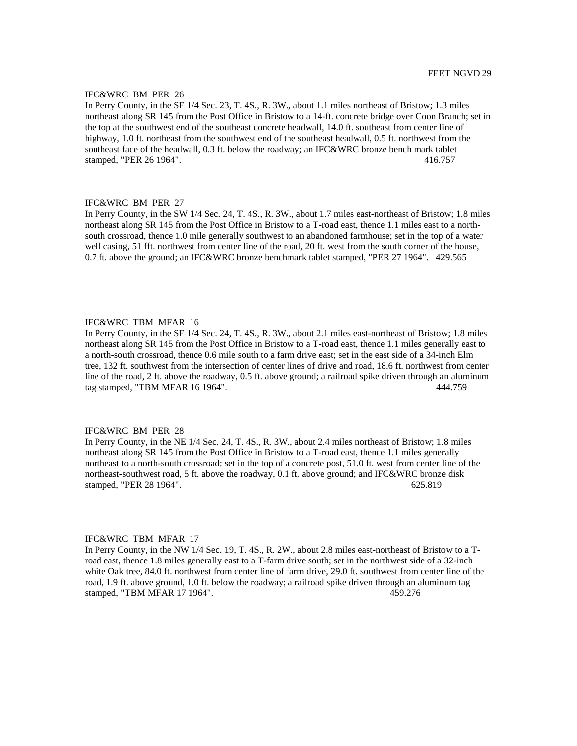In Perry County, in the SE 1/4 Sec. 23, T. 4S., R. 3W., about 1.1 miles northeast of Bristow; 1.3 miles northeast along SR 145 from the Post Office in Bristow to a 14-ft. concrete bridge over Coon Branch; set in the top at the southwest end of the southeast concrete headwall, 14.0 ft. southeast from center line of highway, 1.0 ft. northeast from the southwest end of the southeast headwall, 0.5 ft. northwest from the southeast face of the headwall, 0.3 ft. below the roadway; an IFC&WRC bronze bench mark tablet stamped, "PER 26 1964". 416.757

#### IFC&WRC BM PER 27

In Perry County, in the SW 1/4 Sec. 24, T. 4S., R. 3W., about 1.7 miles east-northeast of Bristow; 1.8 miles northeast along SR 145 from the Post Office in Bristow to a T-road east, thence 1.1 miles east to a northsouth crossroad, thence 1.0 mile generally southwest to an abandoned farmhouse; set in the top of a water well casing, 51 fft. northwest from center line of the road, 20 ft. west from the south corner of the house, 0.7 ft. above the ground; an IFC&WRC bronze benchmark tablet stamped, "PER 27 1964". 429.565

#### IFC&WRC TBM MFAR 16

In Perry County, in the SE 1/4 Sec. 24, T. 4S., R. 3W., about 2.1 miles east-northeast of Bristow; 1.8 miles northeast along SR 145 from the Post Office in Bristow to a T-road east, thence 1.1 miles generally east to a north-south crossroad, thence 0.6 mile south to a farm drive east; set in the east side of a 34-inch Elm tree, 132 ft. southwest from the intersection of center lines of drive and road, 18.6 ft. northwest from center line of the road, 2 ft. above the roadway, 0.5 ft. above ground; a railroad spike driven through an aluminum tag stamped, "TBM MFAR 16 1964". 444.759

#### IFC&WRC BM PER 28

In Perry County, in the NE 1/4 Sec. 24, T. 4S., R. 3W., about 2.4 miles northeast of Bristow; 1.8 miles northeast along SR 145 from the Post Office in Bristow to a T-road east, thence 1.1 miles generally northeast to a north-south crossroad; set in the top of a concrete post, 51.0 ft. west from center line of the northeast-southwest road, 5 ft. above the roadway, 0.1 ft. above ground; and IFC&WRC bronze disk stamped, "PER 28 1964". 625.819

#### IFC&WRC TBM MFAR 17

In Perry County, in the NW 1/4 Sec. 19, T. 4S., R. 2W., about 2.8 miles east-northeast of Bristow to a Troad east, thence 1.8 miles generally east to a T-farm drive south; set in the northwest side of a 32-inch white Oak tree, 84.0 ft. northwest from center line of farm drive, 29.0 ft. southwest from center line of the road, 1.9 ft. above ground, 1.0 ft. below the roadway; a railroad spike driven through an aluminum tag stamped, "TBM MFAR 17 1964". 459.276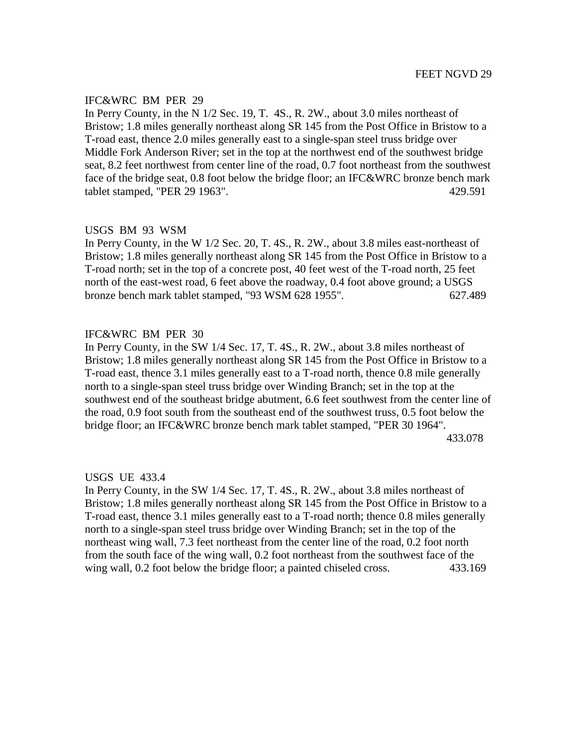In Perry County, in the N 1/2 Sec. 19, T. 4S., R. 2W., about 3.0 miles northeast of Bristow; 1.8 miles generally northeast along SR 145 from the Post Office in Bristow to a T-road east, thence 2.0 miles generally east to a single-span steel truss bridge over Middle Fork Anderson River; set in the top at the northwest end of the southwest bridge seat, 8.2 feet northwest from center line of the road, 0.7 foot northeast from the southwest face of the bridge seat, 0.8 foot below the bridge floor; an IFC&WRC bronze bench mark tablet stamped, "PER 29 1963". 429.591

# USGS BM 93 WSM

In Perry County, in the W 1/2 Sec. 20, T. 4S., R. 2W., about 3.8 miles east-northeast of Bristow; 1.8 miles generally northeast along SR 145 from the Post Office in Bristow to a T-road north; set in the top of a concrete post, 40 feet west of the T-road north, 25 feet north of the east-west road, 6 feet above the roadway, 0.4 foot above ground; a USGS bronze bench mark tablet stamped, "93 WSM 628 1955". 627.489

# IFC&WRC BM PER 30

In Perry County, in the SW 1/4 Sec. 17, T. 4S., R. 2W., about 3.8 miles northeast of Bristow; 1.8 miles generally northeast along SR 145 from the Post Office in Bristow to a T-road east, thence 3.1 miles generally east to a T-road north, thence 0.8 mile generally north to a single-span steel truss bridge over Winding Branch; set in the top at the southwest end of the southeast bridge abutment, 6.6 feet southwest from the center line of the road, 0.9 foot south from the southeast end of the southwest truss, 0.5 foot below the bridge floor; an IFC&WRC bronze bench mark tablet stamped, "PER 30 1964". 433.078

USGS UE 433.4

In Perry County, in the SW 1/4 Sec. 17, T. 4S., R. 2W., about 3.8 miles northeast of Bristow; 1.8 miles generally northeast along SR 145 from the Post Office in Bristow to a T-road east, thence 3.1 miles generally east to a T-road north; thence 0.8 miles generally north to a single-span steel truss bridge over Winding Branch; set in the top of the northeast wing wall, 7.3 feet northeast from the center line of the road, 0.2 foot north from the south face of the wing wall, 0.2 foot northeast from the southwest face of the wing wall, 0.2 foot below the bridge floor; a painted chiseled cross. 433.169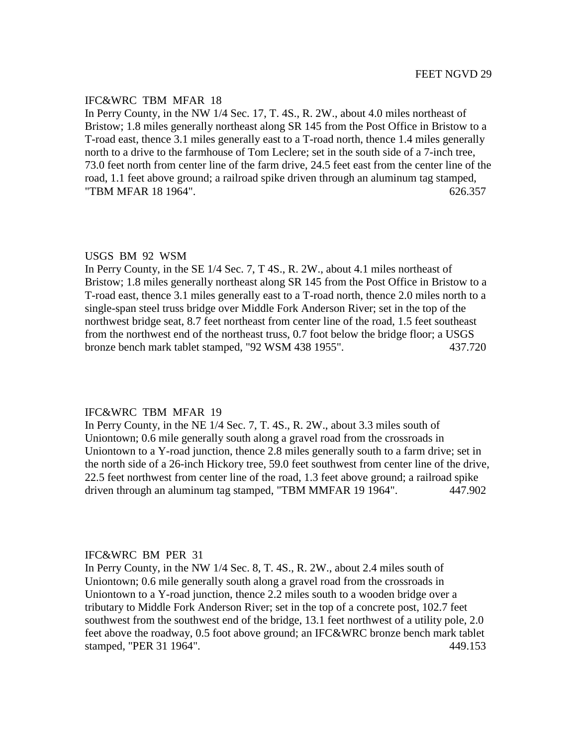## IFC&WRC TBM MFAR 18

In Perry County, in the NW 1/4 Sec. 17, T. 4S., R. 2W., about 4.0 miles northeast of Bristow; 1.8 miles generally northeast along SR 145 from the Post Office in Bristow to a T-road east, thence 3.1 miles generally east to a T-road north, thence 1.4 miles generally north to a drive to the farmhouse of Tom Leclere; set in the south side of a 7-inch tree, 73.0 feet north from center line of the farm drive, 24.5 feet east from the center line of the road, 1.1 feet above ground; a railroad spike driven through an aluminum tag stamped, "TBM MFAR 18 1964". (2008) 2008 12:357 (2008) 2014 12:357 (2008) 2014 12:357 (2008) 2014 12:357 (2009) 2014 12:357 (2009) 2014 12:357 (2009) 2014 12:357 (2009) 2014 12:357 (2009) 2014 12:357 (2009) 2014 12:357 (2009) 2014

#### USGS BM 92 WSM

In Perry County, in the SE 1/4 Sec. 7, T 4S., R. 2W., about 4.1 miles northeast of Bristow; 1.8 miles generally northeast along SR 145 from the Post Office in Bristow to a T-road east, thence 3.1 miles generally east to a T-road north, thence 2.0 miles north to a single-span steel truss bridge over Middle Fork Anderson River; set in the top of the northwest bridge seat, 8.7 feet northeast from center line of the road, 1.5 feet southeast from the northwest end of the northeast truss, 0.7 foot below the bridge floor; a USGS bronze bench mark tablet stamped, "92 WSM 438 1955". 437.720

## IFC&WRC TBM MFAR 19

In Perry County, in the NE 1/4 Sec. 7, T. 4S., R. 2W., about 3.3 miles south of Uniontown; 0.6 mile generally south along a gravel road from the crossroads in Uniontown to a Y-road junction, thence 2.8 miles generally south to a farm drive; set in the north side of a 26-inch Hickory tree, 59.0 feet southwest from center line of the drive, 22.5 feet northwest from center line of the road, 1.3 feet above ground; a railroad spike driven through an aluminum tag stamped, "TBM MMFAR 19 1964". 447.902

#### IFC&WRC BM PER 31

In Perry County, in the NW 1/4 Sec. 8, T. 4S., R. 2W., about 2.4 miles south of Uniontown; 0.6 mile generally south along a gravel road from the crossroads in Uniontown to a Y-road junction, thence 2.2 miles south to a wooden bridge over a tributary to Middle Fork Anderson River; set in the top of a concrete post, 102.7 feet southwest from the southwest end of the bridge, 13.1 feet northwest of a utility pole, 2.0 feet above the roadway, 0.5 foot above ground; an IFC&WRC bronze bench mark tablet stamped, "PER 31 1964". 449.153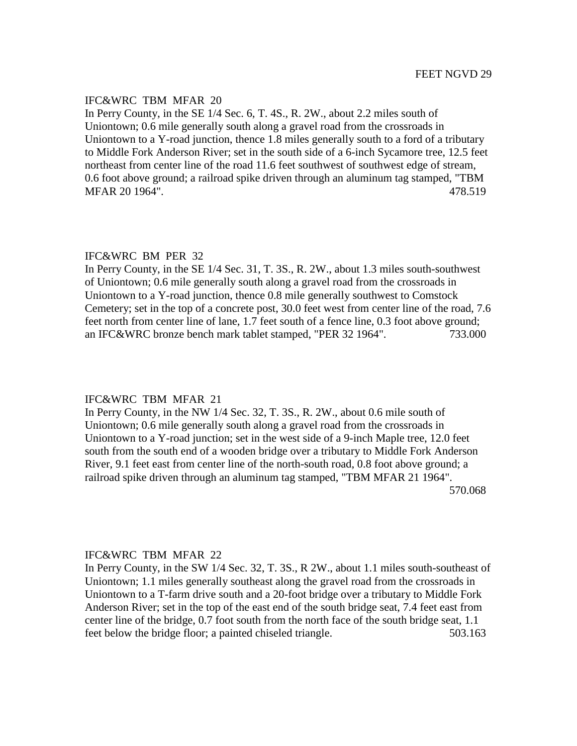## IFC&WRC TBM MFAR 20

In Perry County, in the SE 1/4 Sec. 6, T. 4S., R. 2W., about 2.2 miles south of Uniontown; 0.6 mile generally south along a gravel road from the crossroads in Uniontown to a Y-road junction, thence 1.8 miles generally south to a ford of a tributary to Middle Fork Anderson River; set in the south side of a 6-inch Sycamore tree, 12.5 feet northeast from center line of the road 11.6 feet southwest of southwest edge of stream, 0.6 foot above ground; a railroad spike driven through an aluminum tag stamped, "TBM MFAR 20 1964". 478.519

#### IFC&WRC BM PER 32

In Perry County, in the SE 1/4 Sec. 31, T. 3S., R. 2W., about 1.3 miles south-southwest of Uniontown; 0.6 mile generally south along a gravel road from the crossroads in Uniontown to a Y-road junction, thence 0.8 mile generally southwest to Comstock Cemetery; set in the top of a concrete post, 30.0 feet west from center line of the road, 7.6 feet north from center line of lane, 1.7 feet south of a fence line, 0.3 foot above ground; an IFC&WRC bronze bench mark tablet stamped, "PER 32 1964". 733.000

#### IFC&WRC TBM MFAR 21

In Perry County, in the NW 1/4 Sec. 32, T. 3S., R. 2W., about 0.6 mile south of Uniontown; 0.6 mile generally south along a gravel road from the crossroads in Uniontown to a Y-road junction; set in the west side of a 9-inch Maple tree, 12.0 feet south from the south end of a wooden bridge over a tributary to Middle Fork Anderson River, 9.1 feet east from center line of the north-south road, 0.8 foot above ground; a railroad spike driven through an aluminum tag stamped, "TBM MFAR 21 1964". 570.068

#### IFC&WRC TBM MFAR 22

In Perry County, in the SW 1/4 Sec. 32, T. 3S., R 2W., about 1.1 miles south-southeast of Uniontown; 1.1 miles generally southeast along the gravel road from the crossroads in Uniontown to a T-farm drive south and a 20-foot bridge over a tributary to Middle Fork Anderson River; set in the top of the east end of the south bridge seat, 7.4 feet east from center line of the bridge, 0.7 foot south from the north face of the south bridge seat, 1.1 feet below the bridge floor; a painted chiseled triangle. 503.163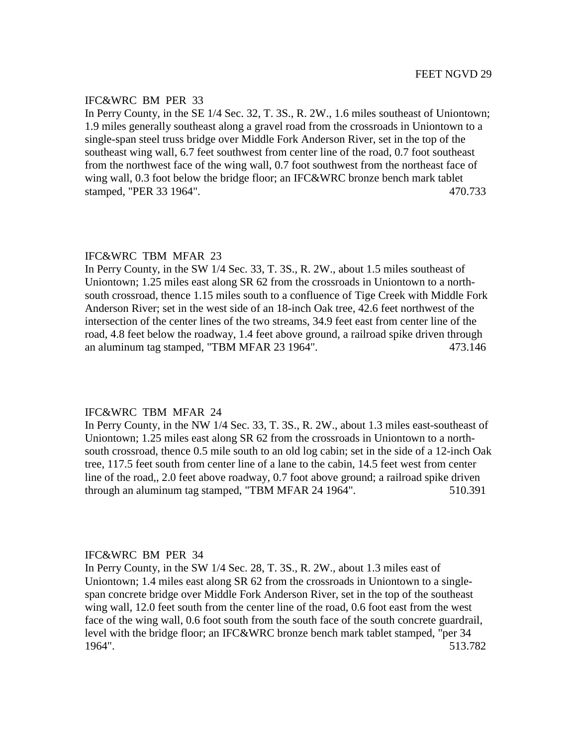In Perry County, in the SE 1/4 Sec. 32, T. 3S., R. 2W., 1.6 miles southeast of Uniontown; 1.9 miles generally southeast along a gravel road from the crossroads in Uniontown to a single-span steel truss bridge over Middle Fork Anderson River, set in the top of the southeast wing wall, 6.7 feet southwest from center line of the road, 0.7 foot southeast from the northwest face of the wing wall, 0.7 foot southwest from the northeast face of wing wall, 0.3 foot below the bridge floor; an IFC&WRC bronze bench mark tablet stamped, "PER 33 1964". 470.733

#### IFC&WRC TBM MFAR 23

In Perry County, in the SW 1/4 Sec. 33, T. 3S., R. 2W., about 1.5 miles southeast of Uniontown; 1.25 miles east along SR 62 from the crossroads in Uniontown to a northsouth crossroad, thence 1.15 miles south to a confluence of Tige Creek with Middle Fork Anderson River; set in the west side of an 18-inch Oak tree, 42.6 feet northwest of the intersection of the center lines of the two streams, 34.9 feet east from center line of the road, 4.8 feet below the roadway, 1.4 feet above ground, a railroad spike driven through an aluminum tag stamped, "TBM MFAR 23 1964". 473.146

## IFC&WRC TBM MFAR 24

In Perry County, in the NW 1/4 Sec. 33, T. 3S., R. 2W., about 1.3 miles east-southeast of Uniontown; 1.25 miles east along SR 62 from the crossroads in Uniontown to a northsouth crossroad, thence 0.5 mile south to an old log cabin; set in the side of a 12-inch Oak tree, 117.5 feet south from center line of a lane to the cabin, 14.5 feet west from center line of the road,, 2.0 feet above roadway, 0.7 foot above ground; a railroad spike driven through an aluminum tag stamped, "TBM MFAR 24 1964". 510.391

#### IFC&WRC BM PER 34

In Perry County, in the SW 1/4 Sec. 28, T. 3S., R. 2W., about 1.3 miles east of Uniontown; 1.4 miles east along SR 62 from the crossroads in Uniontown to a singlespan concrete bridge over Middle Fork Anderson River, set in the top of the southeast wing wall, 12.0 feet south from the center line of the road, 0.6 foot east from the west face of the wing wall, 0.6 foot south from the south face of the south concrete guardrail, level with the bridge floor; an IFC&WRC bronze bench mark tablet stamped, "per 34 1964". 513.782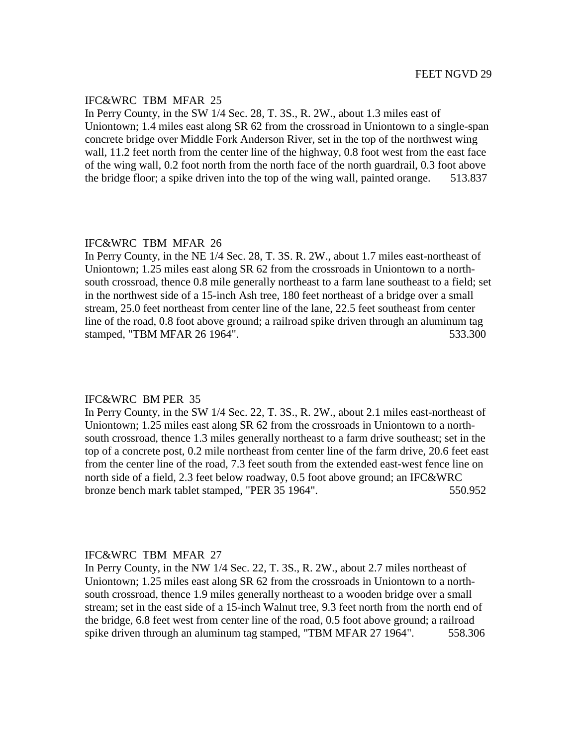## IFC&WRC TBM MFAR 25

In Perry County, in the SW 1/4 Sec. 28, T. 3S., R. 2W., about 1.3 miles east of Uniontown; 1.4 miles east along SR 62 from the crossroad in Uniontown to a single-span concrete bridge over Middle Fork Anderson River, set in the top of the northwest wing wall, 11.2 feet north from the center line of the highway, 0.8 foot west from the east face of the wing wall, 0.2 foot north from the north face of the north guardrail, 0.3 foot above the bridge floor; a spike driven into the top of the wing wall, painted orange. 513.837

## IFC&WRC TBM MFAR 26

In Perry County, in the NE 1/4 Sec. 28, T. 3S. R. 2W., about 1.7 miles east-northeast of Uniontown; 1.25 miles east along SR 62 from the crossroads in Uniontown to a northsouth crossroad, thence 0.8 mile generally northeast to a farm lane southeast to a field; set in the northwest side of a 15-inch Ash tree, 180 feet northeast of a bridge over a small stream, 25.0 feet northeast from center line of the lane, 22.5 feet southeast from center line of the road, 0.8 foot above ground; a railroad spike driven through an aluminum tag stamped, "TBM MFAR 26 1964". 533.300

#### IFC&WRC BM PER 35

In Perry County, in the SW 1/4 Sec. 22, T. 3S., R. 2W., about 2.1 miles east-northeast of Uniontown; 1.25 miles east along SR 62 from the crossroads in Uniontown to a northsouth crossroad, thence 1.3 miles generally northeast to a farm drive southeast; set in the top of a concrete post, 0.2 mile northeast from center line of the farm drive, 20.6 feet east from the center line of the road, 7.3 feet south from the extended east-west fence line on north side of a field, 2.3 feet below roadway, 0.5 foot above ground; an IFC&WRC bronze bench mark tablet stamped, "PER 35 1964". 550.952

#### IFC&WRC TBM MFAR 27

In Perry County, in the NW 1/4 Sec. 22, T. 3S., R. 2W., about 2.7 miles northeast of Uniontown; 1.25 miles east along SR 62 from the crossroads in Uniontown to a northsouth crossroad, thence 1.9 miles generally northeast to a wooden bridge over a small stream; set in the east side of a 15-inch Walnut tree, 9.3 feet north from the north end of the bridge, 6.8 feet west from center line of the road, 0.5 foot above ground; a railroad spike driven through an aluminum tag stamped, "TBM MFAR 27 1964". 558.306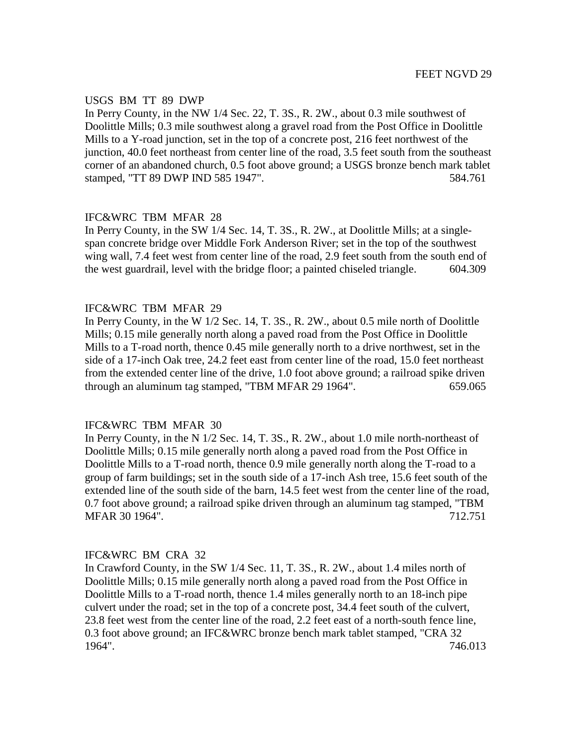#### USGS BM TT 89 DWP

In Perry County, in the NW 1/4 Sec. 22, T. 3S., R. 2W., about 0.3 mile southwest of Doolittle Mills; 0.3 mile southwest along a gravel road from the Post Office in Doolittle Mills to a Y-road junction, set in the top of a concrete post, 216 feet northwest of the junction, 40.0 feet northeast from center line of the road, 3.5 feet south from the southeast corner of an abandoned church, 0.5 foot above ground; a USGS bronze bench mark tablet stamped, "TT 89 DWP IND 585 1947". 584.761

# IFC&WRC TBM MFAR 28

In Perry County, in the SW 1/4 Sec. 14, T. 3S., R. 2W., at Doolittle Mills; at a singlespan concrete bridge over Middle Fork Anderson River; set in the top of the southwest wing wall, 7.4 feet west from center line of the road, 2.9 feet south from the south end of the west guardrail, level with the bridge floor; a painted chiseled triangle. 604.309

# IFC&WRC TBM MFAR 29

In Perry County, in the W 1/2 Sec. 14, T. 3S., R. 2W., about 0.5 mile north of Doolittle Mills; 0.15 mile generally north along a paved road from the Post Office in Doolittle Mills to a T-road north, thence 0.45 mile generally north to a drive northwest, set in the side of a 17-inch Oak tree, 24.2 feet east from center line of the road, 15.0 feet northeast from the extended center line of the drive, 1.0 foot above ground; a railroad spike driven through an aluminum tag stamped, "TBM MFAR 29 1964". 659.065

## IFC&WRC TBM MFAR 30

In Perry County, in the N 1/2 Sec. 14, T. 3S., R. 2W., about 1.0 mile north-northeast of Doolittle Mills; 0.15 mile generally north along a paved road from the Post Office in Doolittle Mills to a T-road north, thence 0.9 mile generally north along the T-road to a group of farm buildings; set in the south side of a 17-inch Ash tree, 15.6 feet south of the extended line of the south side of the barn, 14.5 feet west from the center line of the road, 0.7 foot above ground; a railroad spike driven through an aluminum tag stamped, "TBM MFAR 30 1964". 712.751

## IFC&WRC BM CRA 32

In Crawford County, in the SW 1/4 Sec. 11, T. 3S., R. 2W., about 1.4 miles north of Doolittle Mills; 0.15 mile generally north along a paved road from the Post Office in Doolittle Mills to a T-road north, thence 1.4 miles generally north to an 18-inch pipe culvert under the road; set in the top of a concrete post, 34.4 feet south of the culvert, 23.8 feet west from the center line of the road, 2.2 feet east of a north-south fence line, 0.3 foot above ground; an IFC&WRC bronze bench mark tablet stamped, "CRA 32 1964". 746.013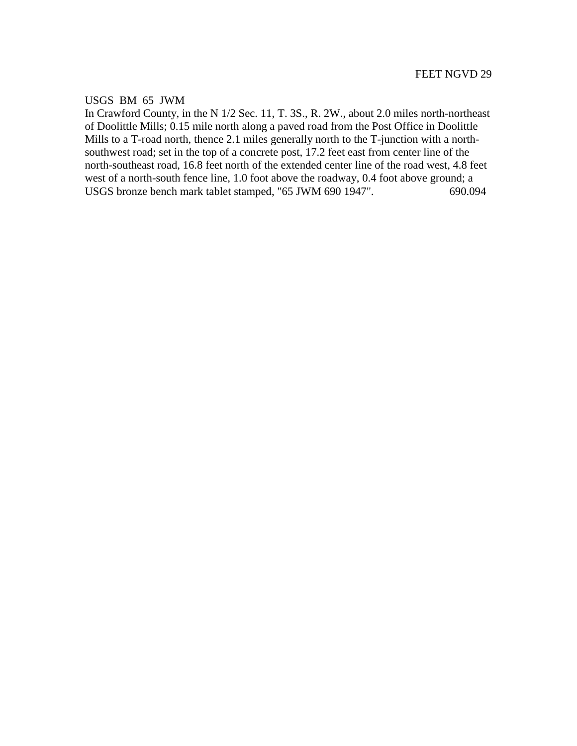# USGS BM 65 JWM

In Crawford County, in the N 1/2 Sec. 11, T. 3S., R. 2W., about 2.0 miles north-northeast of Doolittle Mills; 0.15 mile north along a paved road from the Post Office in Doolittle Mills to a T-road north, thence 2.1 miles generally north to the T-junction with a northsouthwest road; set in the top of a concrete post, 17.2 feet east from center line of the north-southeast road, 16.8 feet north of the extended center line of the road west, 4.8 feet west of a north-south fence line, 1.0 foot above the roadway, 0.4 foot above ground; a USGS bronze bench mark tablet stamped, "65 JWM 690 1947". 690.094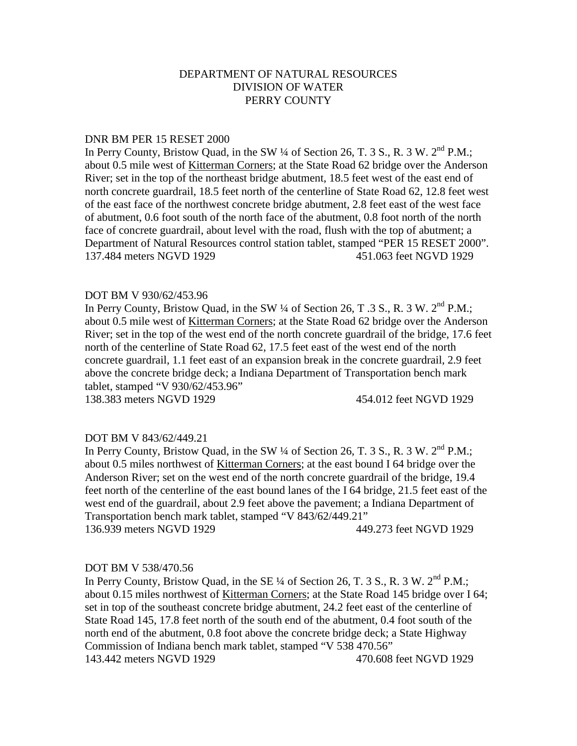#### DNR BM PER 15 RESET 2000

In Perry County, Bristow Quad, in the SW 1/4 of Section 26, T. 3 S., R. 3 W. 2<sup>nd</sup> P.M.: about 0.5 mile west of Kitterman Corners; at the State Road 62 bridge over the Anderson River; set in the top of the northeast bridge abutment, 18.5 feet west of the east end of north concrete guardrail, 18.5 feet north of the centerline of State Road 62, 12.8 feet west of the east face of the northwest concrete bridge abutment, 2.8 feet east of the west face of abutment, 0.6 foot south of the north face of the abutment, 0.8 foot north of the north face of concrete guardrail, about level with the road, flush with the top of abutment; a Department of Natural Resources control station tablet, stamped "PER 15 RESET 2000". 137.484 meters NGVD 1929 451.063 feet NGVD 1929

#### DOT BM V 930/62/453.96

In Perry County, Bristow Quad, in the SW 1/4 of Section 26, T .3 S., R. 3 W. 2<sup>nd</sup> P.M.; about 0.5 mile west of Kitterman Corners; at the State Road 62 bridge over the Anderson River; set in the top of the west end of the north concrete guardrail of the bridge, 17.6 feet north of the centerline of State Road 62, 17.5 feet east of the west end of the north concrete guardrail, 1.1 feet east of an expansion break in the concrete guardrail, 2.9 feet above the concrete bridge deck; a Indiana Department of Transportation bench mark tablet, stamped "V 930/62/453.96"

138.383 meters NGVD 1929 454.012 feet NGVD 1929

#### DOT BM V 843/62/449.21

In Perry County, Bristow Quad, in the SW 1/4 of Section 26, T. 3 S., R. 3 W. 2<sup>nd</sup> P.M.: about 0.5 miles northwest of Kitterman Corners; at the east bound I 64 bridge over the Anderson River; set on the west end of the north concrete guardrail of the bridge, 19.4 feet north of the centerline of the east bound lanes of the I 64 bridge, 21.5 feet east of the west end of the guardrail, about 2.9 feet above the pavement; a Indiana Department of Transportation bench mark tablet, stamped "V 843/62/449.21" 136.939 meters NGVD 1929 449.273 feet NGVD 1929

#### DOT BM V 538/470.56

In Perry County, Bristow Quad, in the SE  $\frac{1}{4}$  of Section 26, T. 3 S., R. 3 W.  $2^{nd}$  P.M.; about 0.15 miles northwest of Kitterman Corners; at the State Road 145 bridge over I 64; set in top of the southeast concrete bridge abutment, 24.2 feet east of the centerline of State Road 145, 17.8 feet north of the south end of the abutment, 0.4 foot south of the north end of the abutment, 0.8 foot above the concrete bridge deck; a State Highway Commission of Indiana bench mark tablet, stamped "V 538 470.56" 143.442 meters NGVD 1929 470.608 feet NGVD 1929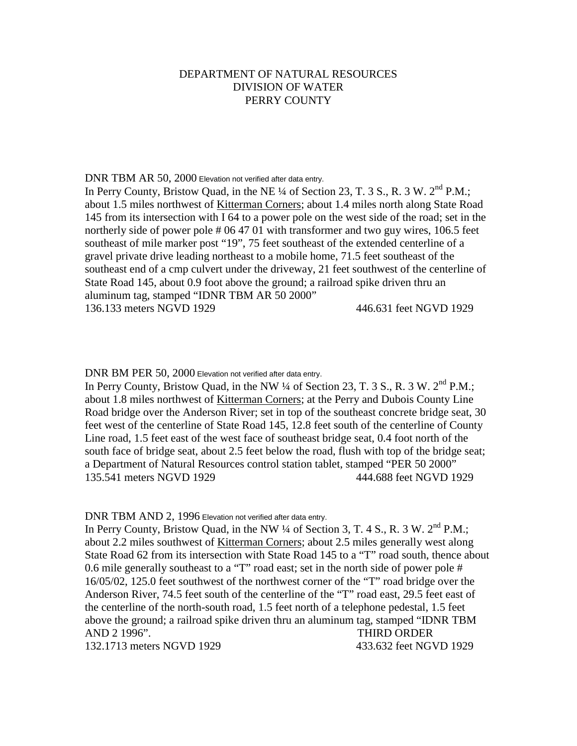#### DNR TBM AR 50, 2000 Elevation not verified after data entry.

In Perry County, Bristow Quad, in the NE  $\frac{1}{4}$  of Section 23, T. 3 S., R. 3 W.  $2^{nd}$  P.M.; about 1.5 miles northwest of Kitterman Corners; about 1.4 miles north along State Road 145 from its intersection with I 64 to a power pole on the west side of the road; set in the northerly side of power pole # 06 47 01 with transformer and two guy wires, 106.5 feet southeast of mile marker post "19", 75 feet southeast of the extended centerline of a gravel private drive leading northeast to a mobile home, 71.5 feet southeast of the southeast end of a cmp culvert under the driveway, 21 feet southwest of the centerline of State Road 145, about 0.9 foot above the ground; a railroad spike driven thru an aluminum tag, stamped "IDNR TBM AR 50 2000" 136.133 meters NGVD 1929 446.631 feet NGVD 1929

DNR BM PER 50, 2000 Elevation not verified after data entry.

In Perry County, Bristow Quad, in the NW ¼ of Section 23, T. 3 S., R. 3 W. 2<sup>nd</sup> P.M.: about 1.8 miles northwest of Kitterman Corners; at the Perry and Dubois County Line Road bridge over the Anderson River; set in top of the southeast concrete bridge seat, 30 feet west of the centerline of State Road 145, 12.8 feet south of the centerline of County Line road, 1.5 feet east of the west face of southeast bridge seat, 0.4 foot north of the south face of bridge seat, about 2.5 feet below the road, flush with top of the bridge seat; a Department of Natural Resources control station tablet, stamped "PER 50 2000" 135.541 meters NGVD 1929 444.688 feet NGVD 1929

DNR TBM AND 2, 1996 Elevation not verified after data entry.

In Perry County, Bristow Quad, in the NW <sup>1</sup>/4 of Section 3, T. 4 S., R. 3 W. 2<sup>nd</sup> P.M.: about 2.2 miles southwest of Kitterman Corners; about 2.5 miles generally west along State Road 62 from its intersection with State Road 145 to a "T" road south, thence about 0.6 mile generally southeast to a "T" road east; set in the north side of power pole # 16/05/02, 125.0 feet southwest of the northwest corner of the "T" road bridge over the Anderson River, 74.5 feet south of the centerline of the "T" road east, 29.5 feet east of the centerline of the north-south road, 1.5 feet north of a telephone pedestal, 1.5 feet above the ground; a railroad spike driven thru an aluminum tag, stamped "IDNR TBM AND 2 1996". THIRD ORDER 132.1713 meters NGVD 1929 433.632 feet NGVD 1929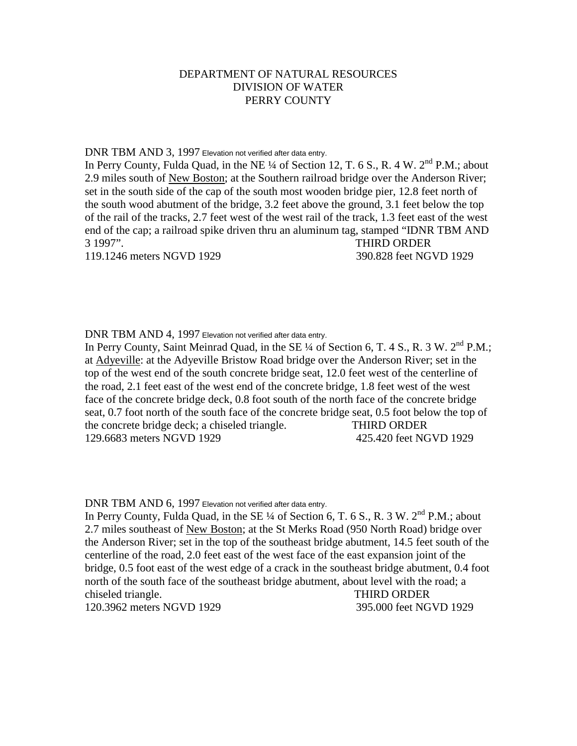## DNR TBM AND 3, 1997 Elevation not verified after data entry.

In Perry County, Fulda Quad, in the NE ¼ of Section 12, T. 6 S., R. 4 W. 2<sup>nd</sup> P.M.: about 2.9 miles south of New Boston; at the Southern railroad bridge over the Anderson River; set in the south side of the cap of the south most wooden bridge pier, 12.8 feet north of the south wood abutment of the bridge, 3.2 feet above the ground, 3.1 feet below the top of the rail of the tracks, 2.7 feet west of the west rail of the track, 1.3 feet east of the west end of the cap; a railroad spike driven thru an aluminum tag, stamped "IDNR TBM AND 3 1997". THIRD ORDER 119.1246 meters NGVD 1929 390.828 feet NGVD 1929

DNR TBM AND 4, 1997 Elevation not verified after data entry.

In Perry County, Saint Meinrad Quad, in the SE  $\frac{1}{4}$  of Section 6, T. 4 S., R. 3 W. 2<sup>nd</sup> P.M.; at Adyeville: at the Adyeville Bristow Road bridge over the Anderson River; set in the top of the west end of the south concrete bridge seat, 12.0 feet west of the centerline of the road, 2.1 feet east of the west end of the concrete bridge, 1.8 feet west of the west face of the concrete bridge deck, 0.8 foot south of the north face of the concrete bridge seat, 0.7 foot north of the south face of the concrete bridge seat, 0.5 foot below the top of the concrete bridge deck; a chiseled triangle. THIRD ORDER 129.6683 meters NGVD 1929 425.420 feet NGVD 1929

DNR TBM AND 6, 1997 Elevation not verified after data entry.

In Perry County, Fulda Quad, in the SE  $\frac{1}{4}$  of Section 6, T. 6 S., R. 3 W.  $2^{nd}$  P.M.; about 2.7 miles southeast of New Boston; at the St Merks Road (950 North Road) bridge over the Anderson River; set in the top of the southeast bridge abutment, 14.5 feet south of the centerline of the road, 2.0 feet east of the west face of the east expansion joint of the bridge, 0.5 foot east of the west edge of a crack in the southeast bridge abutment, 0.4 foot north of the south face of the southeast bridge abutment, about level with the road; a chiseled triangle. THIRD ORDER 120.3962 meters NGVD 1929 395.000 feet NGVD 1929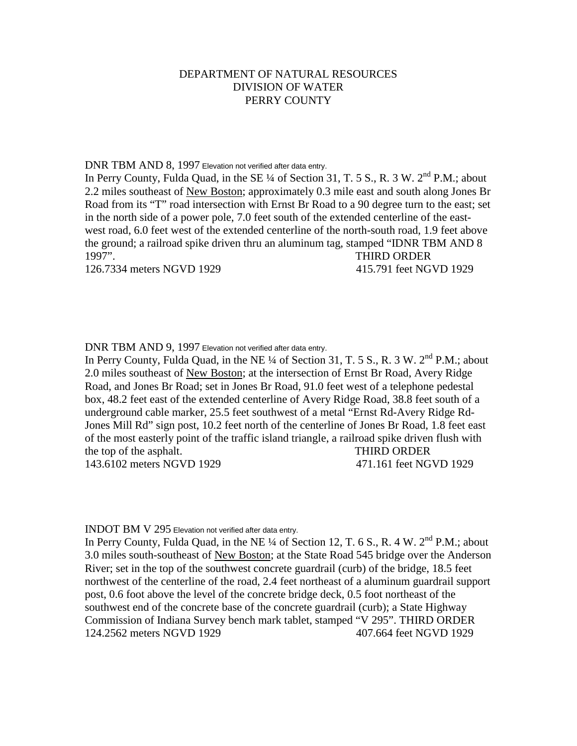#### DNR TBM AND 8, 1997 Elevation not verified after data entry.

In Perry County, Fulda Quad, in the SE ¼ of Section 31, T. 5 S., R. 3 W. 2<sup>nd</sup> P.M.; about 2.2 miles southeast of New Boston; approximately 0.3 mile east and south along Jones Br Road from its "T" road intersection with Ernst Br Road to a 90 degree turn to the east; set in the north side of a power pole, 7.0 feet south of the extended centerline of the eastwest road, 6.0 feet west of the extended centerline of the north-south road, 1.9 feet above the ground; a railroad spike driven thru an aluminum tag, stamped "IDNR TBM AND 8 1997". THIRD ORDER 126.7334 meters NGVD 1929 415.791 feet NGVD 1929

## DNR TBM AND 9, 1997 Elevation not verified after data entry.

In Perry County, Fulda Quad, in the NE  $\frac{1}{4}$  of Section 31, T. 5 S., R. 3 W. 2<sup>nd</sup> P.M.; about 2.0 miles southeast of New Boston; at the intersection of Ernst Br Road, Avery Ridge Road, and Jones Br Road; set in Jones Br Road, 91.0 feet west of a telephone pedestal box, 48.2 feet east of the extended centerline of Avery Ridge Road, 38.8 feet south of a underground cable marker, 25.5 feet southwest of a metal "Ernst Rd-Avery Ridge Rd-Jones Mill Rd" sign post, 10.2 feet north of the centerline of Jones Br Road, 1.8 feet east of the most easterly point of the traffic island triangle, a railroad spike driven flush with the top of the asphalt. THIRD ORDER 143.6102 meters NGVD 1929 471.161 feet NGVD 1929

#### INDOT BM V 295 Elevation not verified after data entry.

In Perry County, Fulda Quad, in the NE  $\frac{1}{4}$  of Section 12, T. 6 S., R. 4 W. 2<sup>nd</sup> P.M.; about 3.0 miles south-southeast of New Boston; at the State Road 545 bridge over the Anderson River; set in the top of the southwest concrete guardrail (curb) of the bridge, 18.5 feet northwest of the centerline of the road, 2.4 feet northeast of a aluminum guardrail support post, 0.6 foot above the level of the concrete bridge deck, 0.5 foot northeast of the southwest end of the concrete base of the concrete guardrail (curb); a State Highway Commission of Indiana Survey bench mark tablet, stamped "V 295". THIRD ORDER 124.2562 meters NGVD 1929 407.664 feet NGVD 1929